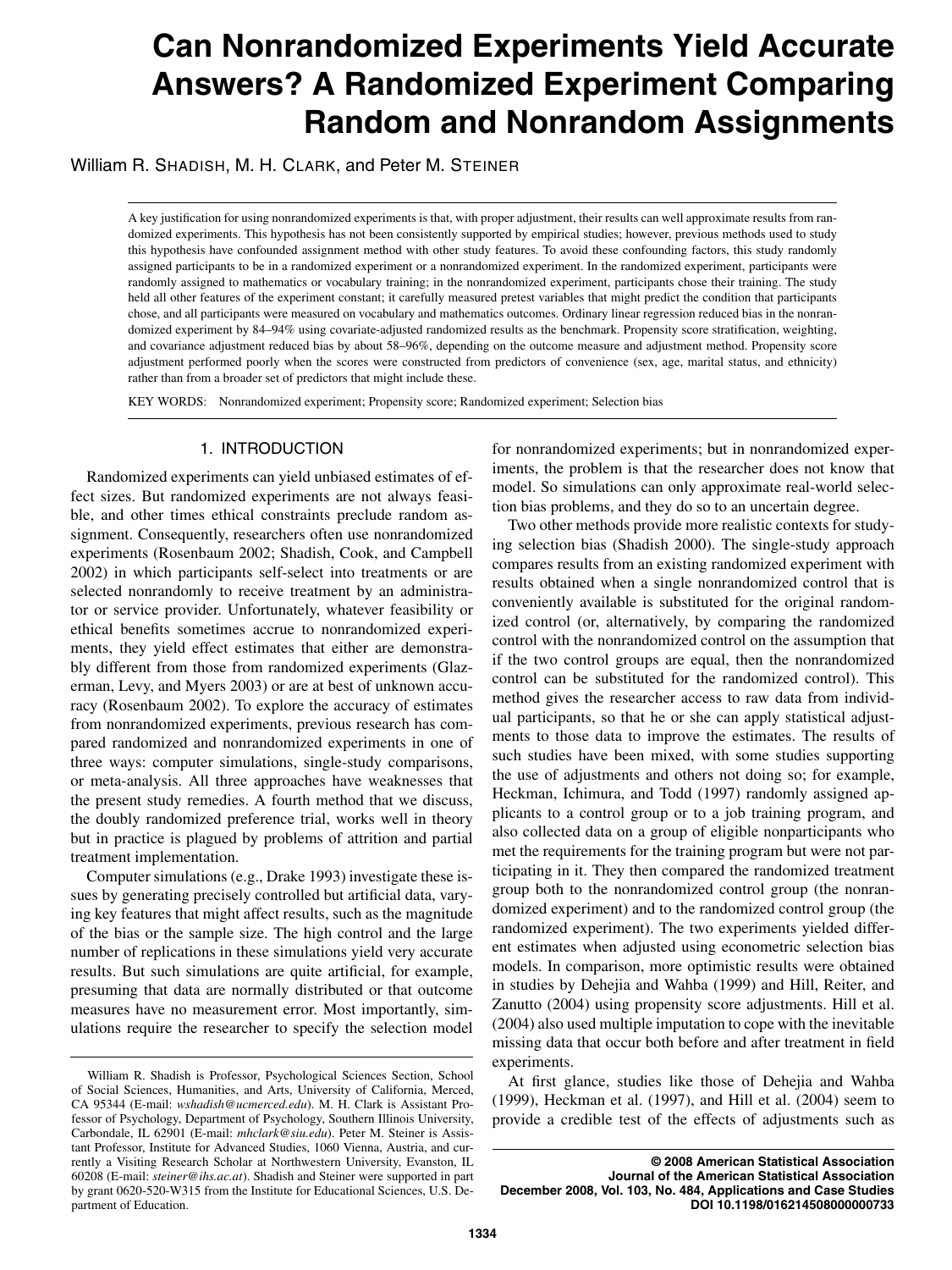# **Can Nonrandomized Experiments Yield Accurate Answers? A Randomized Experiment Comparing Random and Nonrandom Assignments**

William R. SHADISH, M. H. CLARK, and Peter M. STEINER

A key justification for using nonrandomized experiments is that, with proper adjustment, their results can well approximate results from randomized experiments. This hypothesis has not been consistently supported by empirical studies; however, previous methods used to study this hypothesis have confounded assignment method with other study features. To avoid these confounding factors, this study randomly assigned participants to be in a randomized experiment or a nonrandomized experiment. In the randomized experiment, participants were randomly assigned to mathematics or vocabulary training; in the nonrandomized experiment, participants chose their training. The study held all other features of the experiment constant; it carefully measured pretest variables that might predict the condition that participants chose, and all participants were measured on vocabulary and mathematics outcomes. Ordinary linear regression reduced bias in the nonrandomized experiment by 84–94% using covariate-adjusted randomized results as the benchmark. Propensity score stratification, weighting, and covariance adjustment reduced bias by about 58–96%, depending on the outcome measure and adjustment method. Propensity score adjustment performed poorly when the scores were constructed from predictors of convenience (sex, age, marital status, and ethnicity) rather than from a broader set of predictors that might include these.

KEY WORDS: Nonrandomized experiment; Propensity score; Randomized experiment; Selection bias

## 1. INTRODUCTION

Randomized experiments can yield unbiased estimates of effect sizes. But randomized experiments are not always feasible, and other times ethical constraints preclude random assignment. Consequently, researchers often use nonrandomized experiments (Rosenbaum 2002; Shadish, Cook, and Campbell 2002) in which participants self-select into treatments or are selected nonrandomly to receive treatment by an administrator or service provider. Unfortunately, whatever feasibility or ethical benefits sometimes accrue to nonrandomized experiments, they yield effect estimates that either are demonstrably different from those from randomized experiments (Glazerman, Levy, and Myers 2003) or are at best of unknown accuracy (Rosenbaum 2002). To explore the accuracy of estimates from nonrandomized experiments, previous research has compared randomized and nonrandomized experiments in one of three ways: computer simulations, single-study comparisons, or meta-analysis. All three approaches have weaknesses that the present study remedies. A fourth method that we discuss, the doubly randomized preference trial, works well in theory but in practice is plagued by problems of attrition and partial treatment implementation.

Computer simulations (e.g., Drake 1993) investigate these issues by generating precisely controlled but artificial data, varying key features that might affect results, such as the magnitude of the bias or the sample size. The high control and the large number of replications in these simulations yield very accurate results. But such simulations are quite artificial, for example, presuming that data are normally distributed or that outcome measures have no measurement error. Most importantly, simulations require the researcher to specify the selection model

for nonrandomized experiments; but in nonrandomized experiments, the problem is that the researcher does not know that model. So simulations can only approximate real-world selection bias problems, and they do so to an uncertain degree.

Two other methods provide more realistic contexts for studying selection bias (Shadish 2000). The single-study approach compares results from an existing randomized experiment with results obtained when a single nonrandomized control that is conveniently available is substituted for the original randomized control (or, alternatively, by comparing the randomized control with the nonrandomized control on the assumption that if the two control groups are equal, then the nonrandomized control can be substituted for the randomized control). This method gives the researcher access to raw data from individual participants, so that he or she can apply statistical adjustments to those data to improve the estimates. The results of such studies have been mixed, with some studies supporting the use of adjustments and others not doing so; for example, Heckman, Ichimura, and Todd (1997) randomly assigned applicants to a control group or to a job training program, and also collected data on a group of eligible nonparticipants who met the requirements for the training program but were not participating in it. They then compared the randomized treatment group both to the nonrandomized control group (the nonrandomized experiment) and to the randomized control group (the randomized experiment). The two experiments yielded different estimates when adjusted using econometric selection bias models. In comparison, more optimistic results were obtained in studies by Dehejia and Wahba (1999) and Hill, Reiter, and Zanutto (2004) using propensity score adjustments. Hill et al. (2004) also used multiple imputation to cope with the inevitable missing data that occur both before and after treatment in field experiments.

At first glance, studies like those of Dehejia and Wahba (1999), Heckman et al. (1997), and Hill et al. (2004) seem to provide a credible test of the effects of adjustments such as

William R. Shadish is Professor, Psychological Sciences Section, School of Social Sciences, Humanities, and Arts, University of California, Merced, CA 95344 (E-mail: *wshadish@ucmerced.edu*). M. H. Clark is Assistant Professor of Psychology, Department of Psychology, Southern Illinois University, Carbondale, IL 62901 (E-mail: *mhclark@siu.edu*). Peter M. Steiner is Assistant Professor, Institute for Advanced Studies, 1060 Vienna, Austria, and currently a Visiting Research Scholar at Northwestern University, Evanston, IL 60208 (E-mail: *steiner@ihs.ac.at*). Shadish and Steiner were supported in part by grant 0620-520-W315 from the Institute for Educational Sciences, U.S. Department of Education.

**<sup>© 2008</sup> American Statistical Association Journal of the American Statistical Association December 2008, Vol. 103, No. 484, Applications and Case Studies DOI 10.1198/016214508000000733**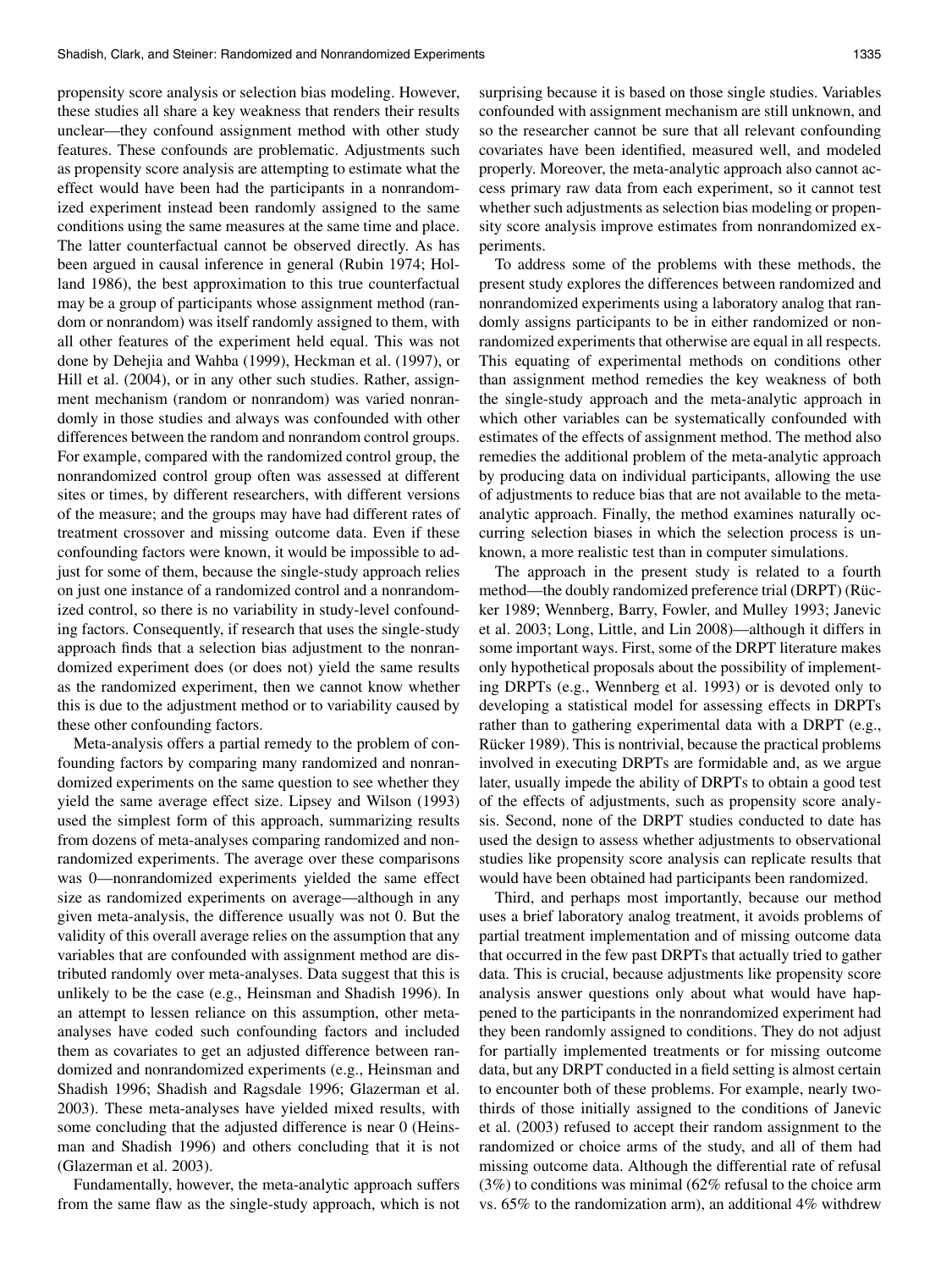propensity score analysis or selection bias modeling. However, these studies all share a key weakness that renders their results unclear—they confound assignment method with other study features. These confounds are problematic. Adjustments such as propensity score analysis are attempting to estimate what the effect would have been had the participants in a nonrandomized experiment instead been randomly assigned to the same conditions using the same measures at the same time and place. The latter counterfactual cannot be observed directly. As has been argued in causal inference in general (Rubin 1974; Holland 1986), the best approximation to this true counterfactual may be a group of participants whose assignment method (random or nonrandom) was itself randomly assigned to them, with all other features of the experiment held equal. This was not done by Dehejia and Wahba (1999), Heckman et al. (1997), or Hill et al. (2004), or in any other such studies. Rather, assignment mechanism (random or nonrandom) was varied nonrandomly in those studies and always was confounded with other differences between the random and nonrandom control groups. For example, compared with the randomized control group, the nonrandomized control group often was assessed at different sites or times, by different researchers, with different versions of the measure; and the groups may have had different rates of treatment crossover and missing outcome data. Even if these confounding factors were known, it would be impossible to adjust for some of them, because the single-study approach relies on just one instance of a randomized control and a nonrandomized control, so there is no variability in study-level confounding factors. Consequently, if research that uses the single-study approach finds that a selection bias adjustment to the nonrandomized experiment does (or does not) yield the same results as the randomized experiment, then we cannot know whether this is due to the adjustment method or to variability caused by these other confounding factors.

Meta-analysis offers a partial remedy to the problem of confounding factors by comparing many randomized and nonrandomized experiments on the same question to see whether they yield the same average effect size. Lipsey and Wilson (1993) used the simplest form of this approach, summarizing results from dozens of meta-analyses comparing randomized and nonrandomized experiments. The average over these comparisons was 0—nonrandomized experiments yielded the same effect size as randomized experiments on average—although in any given meta-analysis, the difference usually was not 0. But the validity of this overall average relies on the assumption that any variables that are confounded with assignment method are distributed randomly over meta-analyses. Data suggest that this is unlikely to be the case (e.g., Heinsman and Shadish 1996). In an attempt to lessen reliance on this assumption, other metaanalyses have coded such confounding factors and included them as covariates to get an adjusted difference between randomized and nonrandomized experiments (e.g., Heinsman and Shadish 1996; Shadish and Ragsdale 1996; Glazerman et al. 2003). These meta-analyses have yielded mixed results, with some concluding that the adjusted difference is near 0 (Heinsman and Shadish 1996) and others concluding that it is not (Glazerman et al. 2003).

Fundamentally, however, the meta-analytic approach suffers from the same flaw as the single-study approach, which is not surprising because it is based on those single studies. Variables confounded with assignment mechanism are still unknown, and so the researcher cannot be sure that all relevant confounding covariates have been identified, measured well, and modeled properly. Moreover, the meta-analytic approach also cannot access primary raw data from each experiment, so it cannot test whether such adjustments as selection bias modeling or propensity score analysis improve estimates from nonrandomized experiments.

To address some of the problems with these methods, the present study explores the differences between randomized and nonrandomized experiments using a laboratory analog that randomly assigns participants to be in either randomized or nonrandomized experiments that otherwise are equal in all respects. This equating of experimental methods on conditions other than assignment method remedies the key weakness of both the single-study approach and the meta-analytic approach in which other variables can be systematically confounded with estimates of the effects of assignment method. The method also remedies the additional problem of the meta-analytic approach by producing data on individual participants, allowing the use of adjustments to reduce bias that are not available to the metaanalytic approach. Finally, the method examines naturally occurring selection biases in which the selection process is unknown, a more realistic test than in computer simulations.

The approach in the present study is related to a fourth method—the doubly randomized preference trial (DRPT) (Rücker 1989; Wennberg, Barry, Fowler, and Mulley 1993; Janevic et al. 2003; Long, Little, and Lin 2008)—although it differs in some important ways. First, some of the DRPT literature makes only hypothetical proposals about the possibility of implementing DRPTs (e.g., Wennberg et al. 1993) or is devoted only to developing a statistical model for assessing effects in DRPTs rather than to gathering experimental data with a DRPT (e.g., Rücker 1989). This is nontrivial, because the practical problems involved in executing DRPTs are formidable and, as we argue later, usually impede the ability of DRPTs to obtain a good test of the effects of adjustments, such as propensity score analysis. Second, none of the DRPT studies conducted to date has used the design to assess whether adjustments to observational studies like propensity score analysis can replicate results that would have been obtained had participants been randomized.

Third, and perhaps most importantly, because our method uses a brief laboratory analog treatment, it avoids problems of partial treatment implementation and of missing outcome data that occurred in the few past DRPTs that actually tried to gather data. This is crucial, because adjustments like propensity score analysis answer questions only about what would have happened to the participants in the nonrandomized experiment had they been randomly assigned to conditions. They do not adjust for partially implemented treatments or for missing outcome data, but any DRPT conducted in a field setting is almost certain to encounter both of these problems. For example, nearly twothirds of those initially assigned to the conditions of Janevic et al. (2003) refused to accept their random assignment to the randomized or choice arms of the study, and all of them had missing outcome data. Although the differential rate of refusal (3%) to conditions was minimal (62% refusal to the choice arm vs. 65% to the randomization arm), an additional 4% withdrew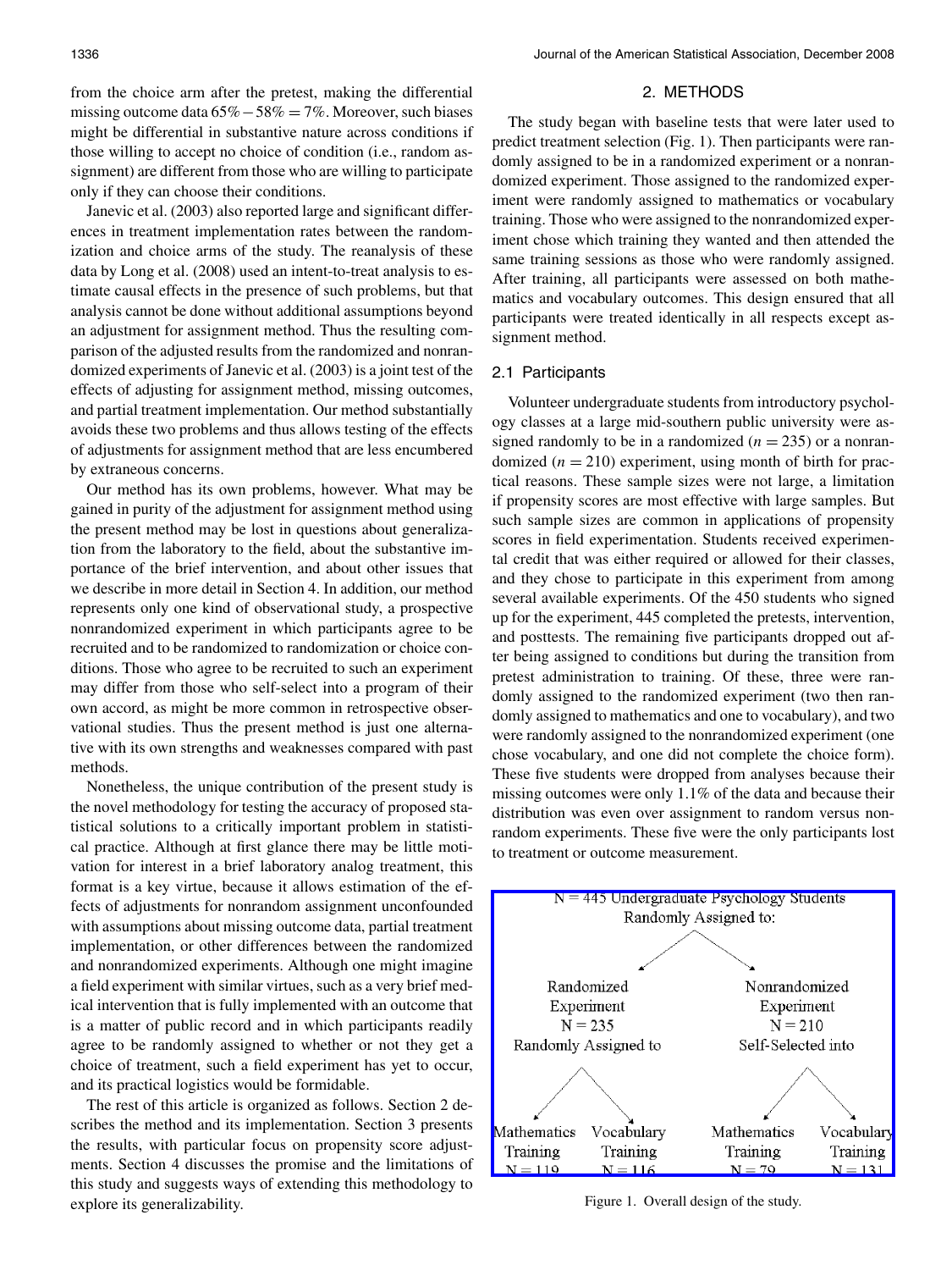from the choice arm after the pretest, making the differential missing outcome data 65%−58% = 7%. Moreover, such biases might be differential in substantive nature across conditions if those willing to accept no choice of condition (i.e., random assignment) are different from those who are willing to participate only if they can choose their conditions.

Janevic et al. (2003) also reported large and significant differences in treatment implementation rates between the randomization and choice arms of the study. The reanalysis of these data by Long et al. (2008) used an intent-to-treat analysis to estimate causal effects in the presence of such problems, but that analysis cannot be done without additional assumptions beyond an adjustment for assignment method. Thus the resulting comparison of the adjusted results from the randomized and nonrandomized experiments of Janevic et al. (2003) is a joint test of the effects of adjusting for assignment method, missing outcomes, and partial treatment implementation. Our method substantially avoids these two problems and thus allows testing of the effects of adjustments for assignment method that are less encumbered by extraneous concerns.

Our method has its own problems, however. What may be gained in purity of the adjustment for assignment method using the present method may be lost in questions about generalization from the laboratory to the field, about the substantive importance of the brief intervention, and about other issues that we describe in more detail in Section 4. In addition, our method represents only one kind of observational study, a prospective nonrandomized experiment in which participants agree to be recruited and to be randomized to randomization or choice conditions. Those who agree to be recruited to such an experiment may differ from those who self-select into a program of their own accord, as might be more common in retrospective observational studies. Thus the present method is just one alternative with its own strengths and weaknesses compared with past methods.

Nonetheless, the unique contribution of the present study is the novel methodology for testing the accuracy of proposed statistical solutions to a critically important problem in statistical practice. Although at first glance there may be little motivation for interest in a brief laboratory analog treatment, this format is a key virtue, because it allows estimation of the effects of adjustments for nonrandom assignment unconfounded with assumptions about missing outcome data, partial treatment implementation, or other differences between the randomized and nonrandomized experiments. Although one might imagine a field experiment with similar virtues, such as a very brief medical intervention that is fully implemented with an outcome that is a matter of public record and in which participants readily agree to be randomly assigned to whether or not they get a choice of treatment, such a field experiment has yet to occur, and its practical logistics would be formidable.

The rest of this article is organized as follows. Section 2 describes the method and its implementation. Section 3 presents the results, with particular focus on propensity score adjustments. Section 4 discusses the promise and the limitations of this study and suggests ways of extending this methodology to explore its generalizability.

## 2. METHODS

The study began with baseline tests that were later used to predict treatment selection (Fig. 1). Then participants were randomly assigned to be in a randomized experiment or a nonrandomized experiment. Those assigned to the randomized experiment were randomly assigned to mathematics or vocabulary training. Those who were assigned to the nonrandomized experiment chose which training they wanted and then attended the same training sessions as those who were randomly assigned. After training, all participants were assessed on both mathematics and vocabulary outcomes. This design ensured that all participants were treated identically in all respects except assignment method.

#### 2.1 Participants

Volunteer undergraduate students from introductory psychology classes at a large mid-southern public university were assigned randomly to be in a randomized  $(n = 235)$  or a nonrandomized  $(n = 210)$  experiment, using month of birth for practical reasons. These sample sizes were not large, a limitation if propensity scores are most effective with large samples. But such sample sizes are common in applications of propensity scores in field experimentation. Students received experimental credit that was either required or allowed for their classes, and they chose to participate in this experiment from among several available experiments. Of the 450 students who signed up for the experiment, 445 completed the pretests, intervention, and posttests. The remaining five participants dropped out after being assigned to conditions but during the transition from pretest administration to training. Of these, three were randomly assigned to the randomized experiment (two then randomly assigned to mathematics and one to vocabulary), and two were randomly assigned to the nonrandomized experiment (one chose vocabulary, and one did not complete the choice form). These five students were dropped from analyses because their missing outcomes were only 1.1% of the data and because their distribution was even over assignment to random versus nonrandom experiments. These five were the only participants lost to treatment or outcome measurement.



Figure 1. Overall design of the study.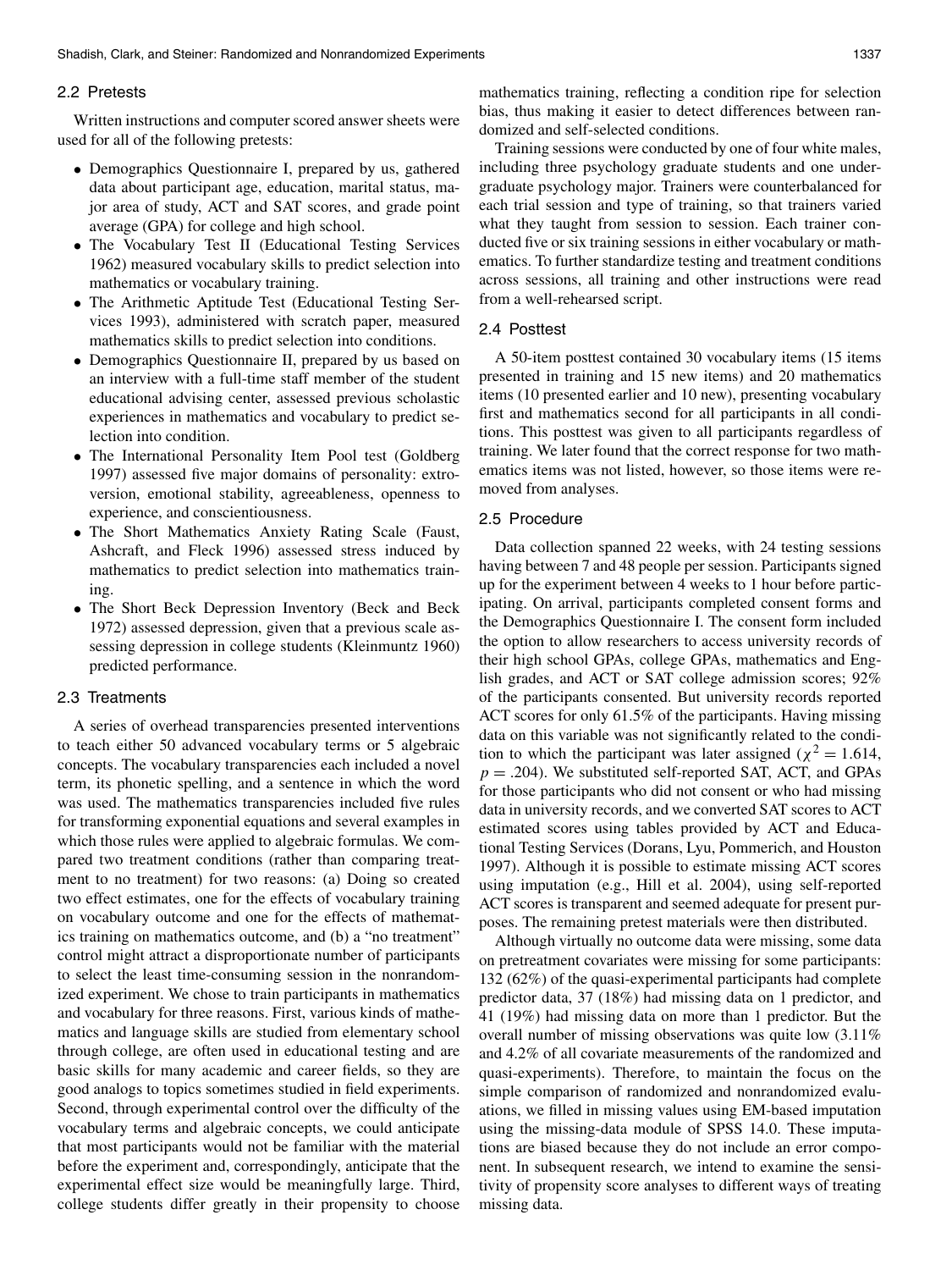## 2.2 Pretests

Written instructions and computer scored answer sheets were used for all of the following pretests:

- Demographics Questionnaire I, prepared by us, gathered data about participant age, education, marital status, major area of study, ACT and SAT scores, and grade point average (GPA) for college and high school.
- The Vocabulary Test II (Educational Testing Services 1962) measured vocabulary skills to predict selection into mathematics or vocabulary training.
- The Arithmetic Aptitude Test (Educational Testing Services 1993), administered with scratch paper, measured mathematics skills to predict selection into conditions.
- Demographics Questionnaire II, prepared by us based on an interview with a full-time staff member of the student educational advising center, assessed previous scholastic experiences in mathematics and vocabulary to predict selection into condition.
- The International Personality Item Pool test (Goldberg) 1997) assessed five major domains of personality: extroversion, emotional stability, agreeableness, openness to experience, and conscientiousness.
- The Short Mathematics Anxiety Rating Scale (Faust, Ashcraft, and Fleck 1996) assessed stress induced by mathematics to predict selection into mathematics training.
- The Short Beck Depression Inventory (Beck and Beck 1972) assessed depression, given that a previous scale assessing depression in college students (Kleinmuntz 1960) predicted performance.

## 2.3 Treatments

A series of overhead transparencies presented interventions to teach either 50 advanced vocabulary terms or 5 algebraic concepts. The vocabulary transparencies each included a novel term, its phonetic spelling, and a sentence in which the word was used. The mathematics transparencies included five rules for transforming exponential equations and several examples in which those rules were applied to algebraic formulas. We compared two treatment conditions (rather than comparing treatment to no treatment) for two reasons: (a) Doing so created two effect estimates, one for the effects of vocabulary training on vocabulary outcome and one for the effects of mathematics training on mathematics outcome, and (b) a "no treatment" control might attract a disproportionate number of participants to select the least time-consuming session in the nonrandomized experiment. We chose to train participants in mathematics and vocabulary for three reasons. First, various kinds of mathematics and language skills are studied from elementary school through college, are often used in educational testing and are basic skills for many academic and career fields, so they are good analogs to topics sometimes studied in field experiments. Second, through experimental control over the difficulty of the vocabulary terms and algebraic concepts, we could anticipate that most participants would not be familiar with the material before the experiment and, correspondingly, anticipate that the experimental effect size would be meaningfully large. Third, college students differ greatly in their propensity to choose

mathematics training, reflecting a condition ripe for selection bias, thus making it easier to detect differences between randomized and self-selected conditions.

Training sessions were conducted by one of four white males, including three psychology graduate students and one undergraduate psychology major. Trainers were counterbalanced for each trial session and type of training, so that trainers varied what they taught from session to session. Each trainer conducted five or six training sessions in either vocabulary or mathematics. To further standardize testing and treatment conditions across sessions, all training and other instructions were read from a well-rehearsed script.

## 2.4 Posttest

A 50-item posttest contained 30 vocabulary items (15 items presented in training and 15 new items) and 20 mathematics items (10 presented earlier and 10 new), presenting vocabulary first and mathematics second for all participants in all conditions. This posttest was given to all participants regardless of training. We later found that the correct response for two mathematics items was not listed, however, so those items were removed from analyses.

#### 2.5 Procedure

Data collection spanned 22 weeks, with 24 testing sessions having between 7 and 48 people per session. Participants signed up for the experiment between 4 weeks to 1 hour before participating. On arrival, participants completed consent forms and the Demographics Questionnaire I. The consent form included the option to allow researchers to access university records of their high school GPAs, college GPAs, mathematics and English grades, and ACT or SAT college admission scores; 92% of the participants consented. But university records reported ACT scores for only 61.5% of the participants. Having missing data on this variable was not significantly related to the condition to which the participant was later assigned ( $\chi^2 = 1.614$ , *p* = *.*204). We substituted self-reported SAT, ACT, and GPAs for those participants who did not consent or who had missing data in university records, and we converted SAT scores to ACT estimated scores using tables provided by ACT and Educational Testing Services (Dorans, Lyu, Pommerich, and Houston 1997). Although it is possible to estimate missing ACT scores using imputation (e.g., Hill et al. 2004), using self-reported ACT scores is transparent and seemed adequate for present purposes. The remaining pretest materials were then distributed.

Although virtually no outcome data were missing, some data on pretreatment covariates were missing for some participants: 132 (62%) of the quasi-experimental participants had complete predictor data, 37 (18%) had missing data on 1 predictor, and 41 (19%) had missing data on more than 1 predictor. But the overall number of missing observations was quite low (3.11% and 4.2% of all covariate measurements of the randomized and quasi-experiments). Therefore, to maintain the focus on the simple comparison of randomized and nonrandomized evaluations, we filled in missing values using EM-based imputation using the missing-data module of SPSS 14.0. These imputations are biased because they do not include an error component. In subsequent research, we intend to examine the sensitivity of propensity score analyses to different ways of treating missing data.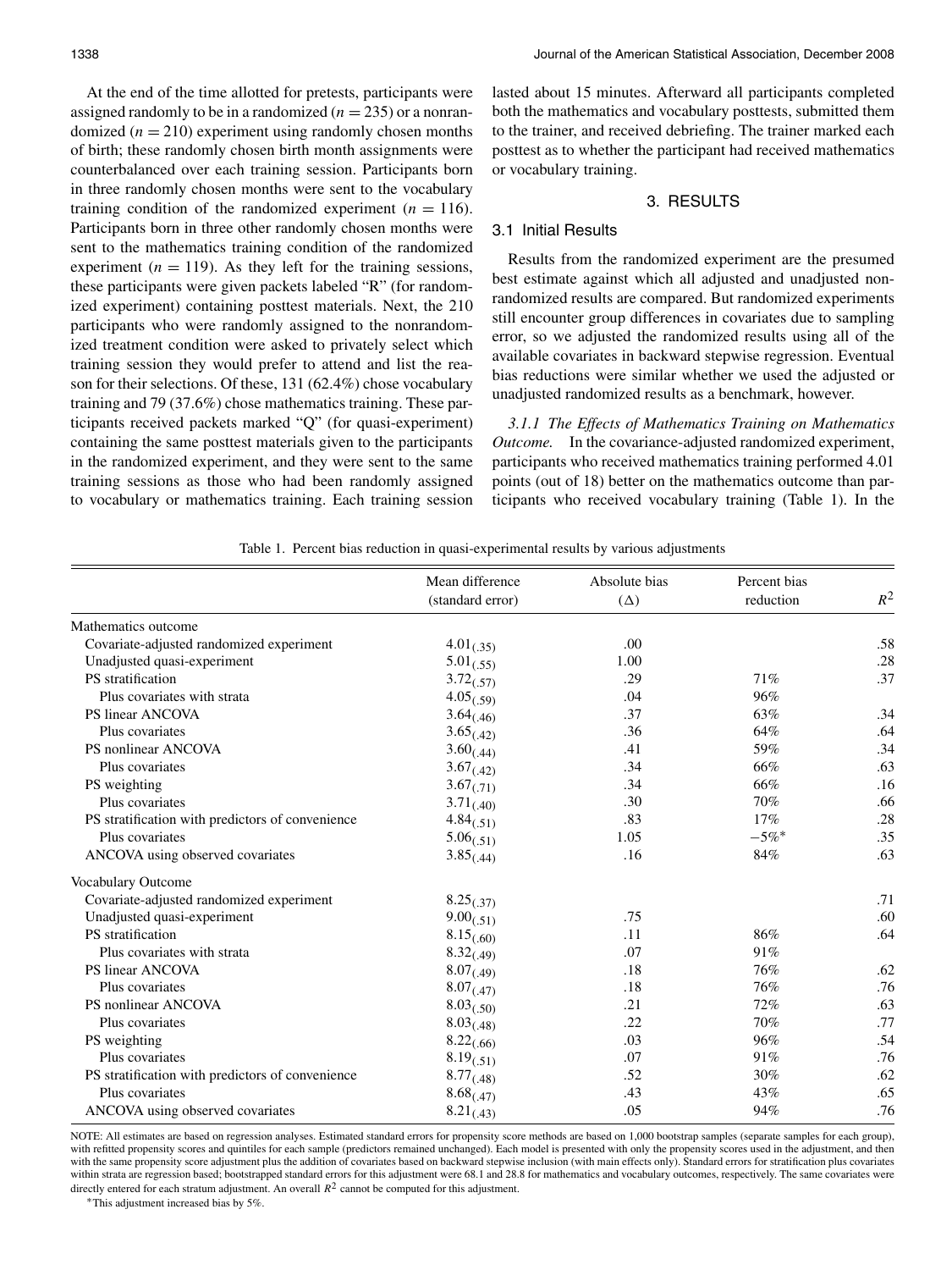At the end of the time allotted for pretests, participants were assigned randomly to be in a randomized ( $n = 235$ ) or a nonrandomized  $(n = 210)$  experiment using randomly chosen months of birth; these randomly chosen birth month assignments were counterbalanced over each training session. Participants born in three randomly chosen months were sent to the vocabulary training condition of the randomized experiment  $(n = 116)$ . Participants born in three other randomly chosen months were sent to the mathematics training condition of the randomized experiment ( $n = 119$ ). As they left for the training sessions, these participants were given packets labeled "R" (for randomized experiment) containing posttest materials. Next, the 210 participants who were randomly assigned to the nonrandomized treatment condition were asked to privately select which training session they would prefer to attend and list the reason for their selections. Of these, 131 (62.4%) chose vocabulary training and 79 (37.6%) chose mathematics training. These participants received packets marked "Q" (for quasi-experiment) containing the same posttest materials given to the participants in the randomized experiment, and they were sent to the same training sessions as those who had been randomly assigned to vocabulary or mathematics training. Each training session

lasted about 15 minutes. Afterward all participants completed both the mathematics and vocabulary posttests, submitted them to the trainer, and received debriefing. The trainer marked each posttest as to whether the participant had received mathematics or vocabulary training.

## 3. RESULTS

#### 3.1 Initial Results

Results from the randomized experiment are the presumed best estimate against which all adjusted and unadjusted nonrandomized results are compared. But randomized experiments still encounter group differences in covariates due to sampling error, so we adjusted the randomized results using all of the available covariates in backward stepwise regression. Eventual bias reductions were similar whether we used the adjusted or unadjusted randomized results as a benchmark, however.

*3.1.1 The Effects of Mathematics Training on Mathematics Outcome.* In the covariance-adjusted randomized experiment, participants who received mathematics training performed 4.01 points (out of 18) better on the mathematics outcome than participants who received vocabulary training (Table 1). In the

|  |  | Table 1. Percent bias reduction in quasi-experimental results by various adjustments |
|--|--|--------------------------------------------------------------------------------------|
|  |  |                                                                                      |

|                                                  | Mean difference  | Absolute bias | Percent bias |       |
|--------------------------------------------------|------------------|---------------|--------------|-------|
|                                                  | (standard error) | $(\Delta)$    | reduction    | $R^2$ |
| Mathematics outcome                              |                  |               |              |       |
| Covariate-adjusted randomized experiment         | $4.01_{(.35)}$   | .00           |              | .58   |
| Unadjusted quasi-experiment                      | $5.01_{(.55)}$   | 1.00          |              | .28   |
| PS stratification                                | $3.72_{(.57)}$   | .29           | 71%          | .37   |
| Plus covariates with strata                      | $4.05_{(.59)}$   | .04           | 96%          |       |
| PS linear ANCOVA                                 | $3.64_{(.46)}$   | .37           | 63%          | .34   |
| Plus covariates                                  | $3.65_{(0.42)}$  | .36           | 64%          | .64   |
| PS nonlinear ANCOVA                              | $3.60_{(.44)}$   | .41           | 59%          | .34   |
| Plus covariates                                  | $3.67_{(.42)}$   | .34           | 66%          | .63   |
| PS weighting                                     | 3.67(0.71)       | .34           | 66%          | .16   |
| Plus covariates                                  | $3.71_{(0.40)}$  | .30           | 70%          | .66   |
| PS stratification with predictors of convenience | 4.84(51)         | .83           | 17%          | .28   |
| Plus covariates                                  | $5.06_{(.51)}$   | 1.05          | $-5\%$ *     | .35   |
| ANCOVA using observed covariates                 | 3.85(44)         | .16           | 84%          | .63   |
| Vocabulary Outcome                               |                  |               |              |       |
| Covariate-adjusted randomized experiment         | $8.25_{(.37)}$   |               |              | .71   |
| Unadjusted quasi-experiment                      | $9.00_{(.51)}$   | .75           |              | .60   |
| PS stratification                                | 8.15(0.60)       | .11           | 86%          | .64   |
| Plus covariates with strata                      | $8.32_{(.49)}$   | .07           | 91%          |       |
| PS linear ANCOVA                                 | $8.07_{(.49)}$   | .18           | 76%          | .62   |
| Plus covariates                                  | $8.07_{(.47)}$   | .18           | 76%          | .76   |
| PS nonlinear ANCOVA                              | $8.03_{(.50)}$   | .21           | 72%          | .63   |
| Plus covariates                                  | $8.03_{(.48)}$   | .22           | 70%          | .77   |
| PS weighting                                     | $8.22_{(.66)}$   | .03           | 96%          | .54   |
| Plus covariates                                  | $8.19_{(.51)}$   | .07           | 91%          | .76   |
| PS stratification with predictors of convenience | $8.77_{(.48)}$   | .52           | 30%          | .62   |
| Plus covariates                                  | $8.68_{(.47)}$   | .43           | 43%          | .65   |
| ANCOVA using observed covariates                 | $8.21_{(0.43)}$  | .05           | 94%          | .76   |

NOTE: All estimates are based on regression analyses. Estimated standard errors for propensity score methods are based on 1,000 bootstrap samples (separate samples for each group), with refitted propensity scores and quintiles for each sample (predictors remained unchanged). Each model is presented with only the propensity scores used in the adjustment, and then with the same propensity score adjustment plus the addition of covariates based on backward stepwise inclusion (with main effects only). Standard errors for stratification plus covariates within strata are regression based; bootstrapped standard errors for this adjustment were 68.1 and 28.8 for mathematics and vocabulary outcomes, respectively. The same covariates were directly entered for each stratum adjustment. An overall *R*<sup>2</sup> cannot be computed for this adjustment. <sup>∗</sup>This adjustment increased bias by 5%.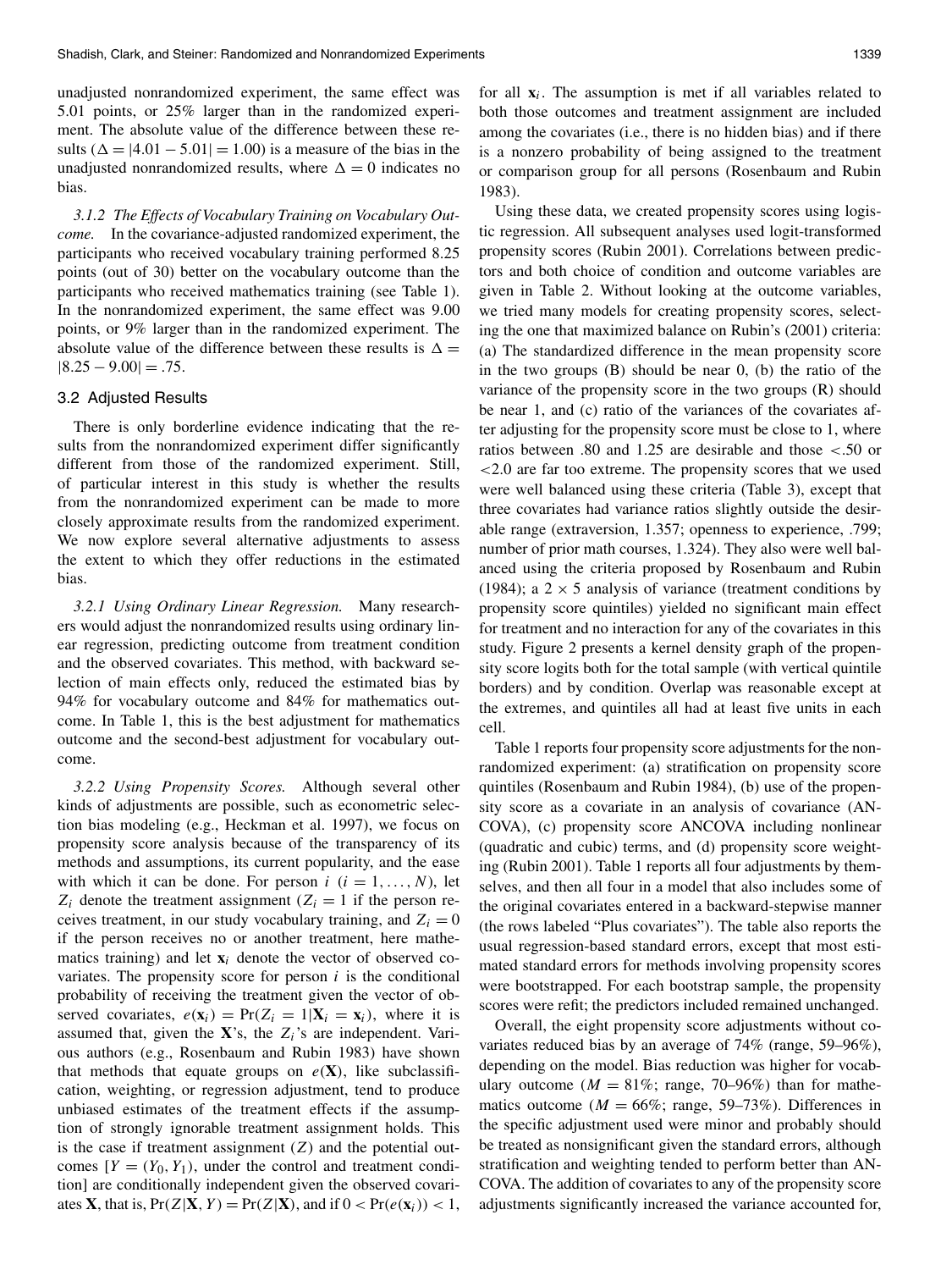unadjusted nonrandomized experiment, the same effect was 5.01 points, or 25% larger than in the randomized experiment. The absolute value of the difference between these results  $(\Delta = |4.01 - 5.01| = 1.00)$  is a measure of the bias in the unadjusted nonrandomized results, where  $\Delta = 0$  indicates no bias.

*3.1.2 The Effects of Vocabulary Training on Vocabulary Outcome.* In the covariance-adjusted randomized experiment, the participants who received vocabulary training performed 8.25 points (out of 30) better on the vocabulary outcome than the participants who received mathematics training (see Table 1). In the nonrandomized experiment, the same effect was 9.00 points, or 9% larger than in the randomized experiment. The absolute value of the difference between these results is  $\Delta =$  $|8.25 - 9.00| = .75.$ 

#### 3.2 Adjusted Results

There is only borderline evidence indicating that the results from the nonrandomized experiment differ significantly different from those of the randomized experiment. Still, of particular interest in this study is whether the results from the nonrandomized experiment can be made to more closely approximate results from the randomized experiment. We now explore several alternative adjustments to assess the extent to which they offer reductions in the estimated bias.

*3.2.1 Using Ordinary Linear Regression.* Many researchers would adjust the nonrandomized results using ordinary linear regression, predicting outcome from treatment condition and the observed covariates. This method, with backward selection of main effects only, reduced the estimated bias by 94% for vocabulary outcome and 84% for mathematics outcome. In Table 1, this is the best adjustment for mathematics outcome and the second-best adjustment for vocabulary outcome.

*3.2.2 Using Propensity Scores.* Although several other kinds of adjustments are possible, such as econometric selection bias modeling (e.g., Heckman et al. 1997), we focus on propensity score analysis because of the transparency of its methods and assumptions, its current popularity, and the ease with which it can be done. For person  $i$   $(i = 1, ..., N)$ , let  $Z_i$  denote the treatment assignment ( $Z_i = 1$  if the person receives treatment, in our study vocabulary training, and  $Z_i = 0$ if the person receives no or another treatment, here mathematics training) and let  $\mathbf{x}_i$  denote the vector of observed covariates. The propensity score for person  $i$  is the conditional probability of receiving the treatment given the vector of observed covariates,  $e(\mathbf{x}_i) = Pr(Z_i = 1 | \mathbf{X}_i = \mathbf{x}_i)$ , where it is assumed that, given the **X**'s, the *Zi*'s are independent. Various authors (e.g., Rosenbaum and Rubin 1983) have shown that methods that equate groups on  $e(X)$ , like subclassification, weighting, or regression adjustment, tend to produce unbiased estimates of the treatment effects if the assumption of strongly ignorable treatment assignment holds. This is the case if treatment assignment (*Z*) and the potential outcomes  $[Y = (Y_0, Y_1)$ , under the control and treatment condition] are conditionally independent given the observed covariates **X**, that is,  $Pr(Z|\mathbf{X}, Y) = Pr(Z|\mathbf{X})$ , and if  $0 < Pr(e(\mathbf{x}_i)) < 1$ ,

for all **x***i*. The assumption is met if all variables related to both those outcomes and treatment assignment are included among the covariates (i.e., there is no hidden bias) and if there is a nonzero probability of being assigned to the treatment or comparison group for all persons (Rosenbaum and Rubin 1983).

Using these data, we created propensity scores using logistic regression. All subsequent analyses used logit-transformed propensity scores (Rubin 2001). Correlations between predictors and both choice of condition and outcome variables are given in Table 2. Without looking at the outcome variables, we tried many models for creating propensity scores, selecting the one that maximized balance on Rubin's (2001) criteria: (a) The standardized difference in the mean propensity score in the two groups (B) should be near 0, (b) the ratio of the variance of the propensity score in the two groups (R) should be near 1, and (c) ratio of the variances of the covariates after adjusting for the propensity score must be close to 1, where ratios between .80 and 1.25 are desirable and those *<*.50 or *<*2.0 are far too extreme. The propensity scores that we used were well balanced using these criteria (Table 3), except that three covariates had variance ratios slightly outside the desirable range (extraversion, 1.357; openness to experience, .799; number of prior math courses, 1.324). They also were well balanced using the criteria proposed by Rosenbaum and Rubin (1984); a  $2 \times 5$  analysis of variance (treatment conditions by propensity score quintiles) yielded no significant main effect for treatment and no interaction for any of the covariates in this study. Figure 2 presents a kernel density graph of the propensity score logits both for the total sample (with vertical quintile borders) and by condition. Overlap was reasonable except at the extremes, and quintiles all had at least five units in each cell.

Table 1 reports four propensity score adjustments for the nonrandomized experiment: (a) stratification on propensity score quintiles (Rosenbaum and Rubin 1984), (b) use of the propensity score as a covariate in an analysis of covariance (AN-COVA), (c) propensity score ANCOVA including nonlinear (quadratic and cubic) terms, and (d) propensity score weighting (Rubin 2001). Table 1 reports all four adjustments by themselves, and then all four in a model that also includes some of the original covariates entered in a backward-stepwise manner (the rows labeled "Plus covariates"). The table also reports the usual regression-based standard errors, except that most estimated standard errors for methods involving propensity scores were bootstrapped. For each bootstrap sample, the propensity scores were refit; the predictors included remained unchanged.

Overall, the eight propensity score adjustments without covariates reduced bias by an average of 74% (range, 59–96%), depending on the model. Bias reduction was higher for vocabulary outcome ( $M = 81\%$ ; range, 70–96%) than for mathematics outcome ( $M = 66\%$ ; range, 59–73%). Differences in the specific adjustment used were minor and probably should be treated as nonsignificant given the standard errors, although stratification and weighting tended to perform better than AN-COVA. The addition of covariates to any of the propensity score adjustments significantly increased the variance accounted for,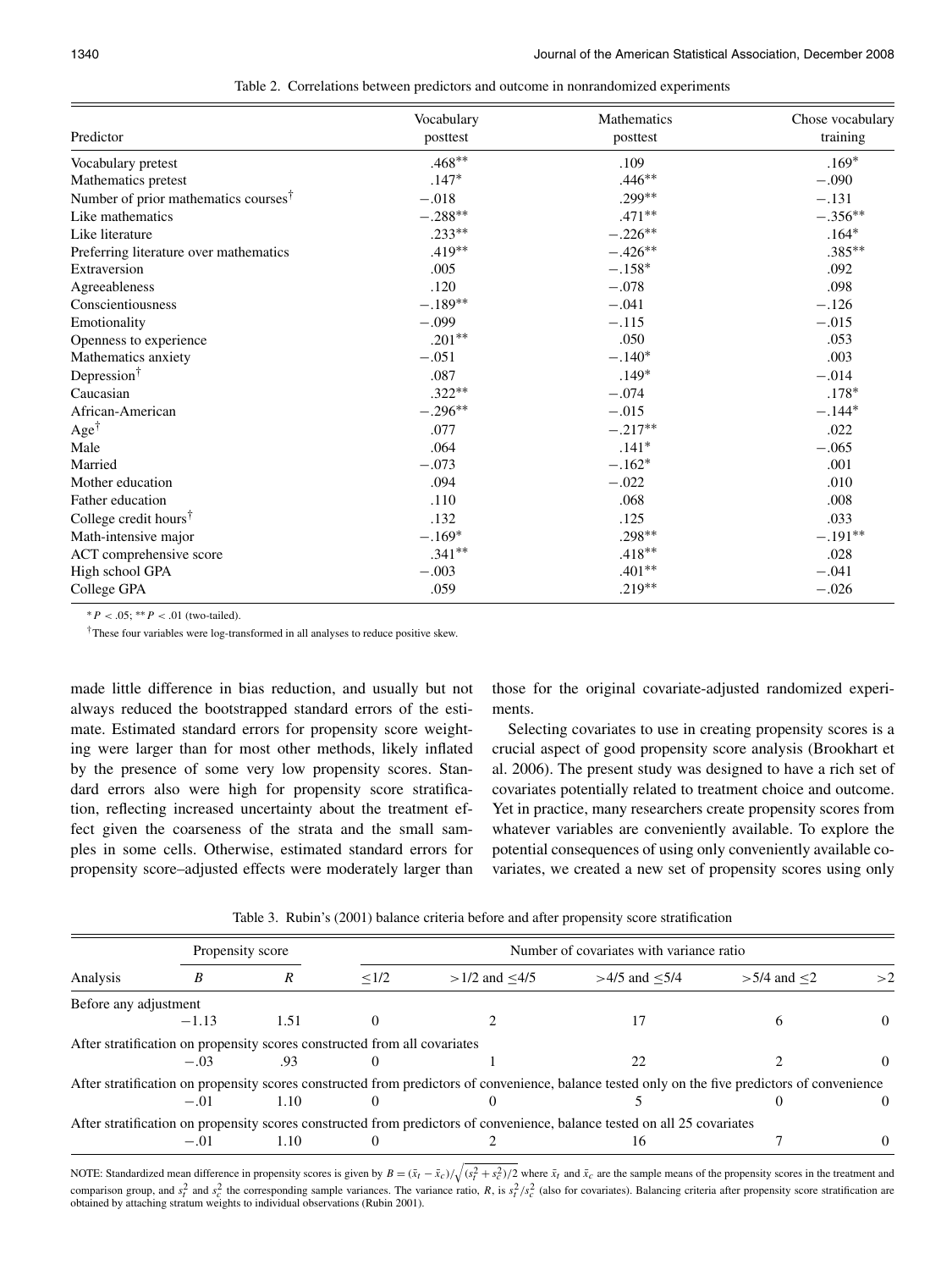| Table 2. Correlations between predictors and outcome in nonrandomized experiments |  |  |  |  |
|-----------------------------------------------------------------------------------|--|--|--|--|
|                                                                                   |  |  |  |  |

|                                                  | Vocabulary | Mathematics | Chose vocabulary |
|--------------------------------------------------|------------|-------------|------------------|
| Predictor                                        | posttest   | posttest    | training         |
| Vocabulary pretest                               | $.468**$   | .109        | $.169*$          |
| Mathematics pretest                              | $.147*$    | $.446**$    | $-.090$          |
| Number of prior mathematics courses <sup>†</sup> | $-.018$    | $.299**$    | $-.131$          |
| Like mathematics                                 | $-.288**$  | $.471**$    | $-.356**$        |
| Like literature                                  | $.233**$   | $-.226**$   | $.164*$          |
| Preferring literature over mathematics           | $.419**$   | $-.426**$   | $.385***$        |
| Extraversion                                     | .005       | $-.158*$    | .092             |
| Agreeableness                                    | .120       | $-.078$     | .098             |
| Conscientiousness                                | $-.189**$  | $-.041$     | $-.126$          |
| Emotionality                                     | $-.099$    | $-.115$     | $-.015$          |
| Openness to experience                           | $.201**$   | .050        | .053             |
| Mathematics anxiety                              | $-.051$    | $-.140*$    | .003             |
| Depression <sup>†</sup>                          | .087       | $.149*$     | $-.014$          |
| Caucasian                                        | $.322**$   | $-.074$     | $.178*$          |
| African-American                                 | $-.296***$ | $-.015$     | $-.144*$         |
| $Age^{\dagger}$                                  | .077       | $-.217**$   | .022             |
| Male                                             | .064       | $.141*$     | $-.065$          |
| Married                                          | $-.073$    | $-.162*$    | .001             |
| Mother education                                 | .094       | $-.022$     | .010             |
| Father education                                 | .110       | .068        | .008             |
| College credit hours <sup>†</sup>                | .132       | .125        | .033             |
| Math-intensive major                             | $-.169*$   | $.298**$    | $-.191**$        |
| ACT comprehensive score                          | $.341**$   | $.418**$    | .028             |
| High school GPA                                  | $-.003$    | $.401**$    | $-.041$          |
| College GPA                                      | .059       | $.219**$    | $-.026$          |

 $*P < .05$ ; \*\* *P* < .01 (two-tailed).

†These four variables were log-transformed in all analyses to reduce positive skew.

made little difference in bias reduction, and usually but not always reduced the bootstrapped standard errors of the estimate. Estimated standard errors for propensity score weighting were larger than for most other methods, likely inflated by the presence of some very low propensity scores. Standard errors also were high for propensity score stratification, reflecting increased uncertainty about the treatment effect given the coarseness of the strata and the small samples in some cells. Otherwise, estimated standard errors for propensity score–adjusted effects were moderately larger than

those for the original covariate-adjusted randomized experiments.

Selecting covariates to use in creating propensity scores is a crucial aspect of good propensity score analysis (Brookhart et al. 2006). The present study was designed to have a rich set of covariates potentially related to treatment choice and outcome. Yet in practice, many researchers create propensity scores from whatever variables are conveniently available. To explore the potential consequences of using only conveniently available covariates, we created a new set of propensity scores using only

|                       | Propensity score                                                          |       |     | Number of covariates with variance ratio |                                                                                                                                                 |                 |            |  |  |
|-----------------------|---------------------------------------------------------------------------|-------|-----|------------------------------------------|-------------------------------------------------------------------------------------------------------------------------------------------------|-----------------|------------|--|--|
| Analysis              | B                                                                         |       | 1/2 | $>1/2$ and $<4/5$                        | $>4/5$ and $< 5/4$                                                                                                                              | $>5/4$ and $<2$ | >2         |  |  |
| Before any adjustment |                                                                           |       |     |                                          |                                                                                                                                                 |                 |            |  |  |
|                       | $-1.13$                                                                   | 1.51  |     |                                          |                                                                                                                                                 |                 |            |  |  |
|                       | After stratification on propensity scores constructed from all covariates |       |     |                                          |                                                                                                                                                 |                 |            |  |  |
|                       | $-.03$                                                                    | $-93$ |     |                                          | 22                                                                                                                                              |                 |            |  |  |
|                       |                                                                           |       |     |                                          | After stratification on propensity scores constructed from predictors of convenience, balance tested only on the five predictors of convenience |                 |            |  |  |
|                       | $-.01$                                                                    | 1.10  |     |                                          |                                                                                                                                                 |                 | $^{\circ}$ |  |  |
|                       |                                                                           |       |     |                                          | After stratification on propensity scores constructed from predictors of convenience, balance tested on all 25 covariates                       |                 |            |  |  |
|                       | $-.01$                                                                    | 1.10  |     |                                          | 16                                                                                                                                              |                 | $\theta$   |  |  |

NOTE: Standardized mean difference in propensity scores is given by  $B = (\bar{x}_t - \bar{x}_c)/\sqrt{(s_t^2 + s_c^2)/2}$  where  $\bar{x}_t$  and  $\bar{x}_c$  are the sample means of the propensity scores in the treatment and comparison group, and  $s_t^2$  and  $s_c^2$  the corresponding sample variances. The variance ratio, R, is  $s_t^2/s_c^2$  (also for covariates). Balancing criteria after propensity score stratification are obtained by attaching stratum weights to individual observations (Rubin 2001).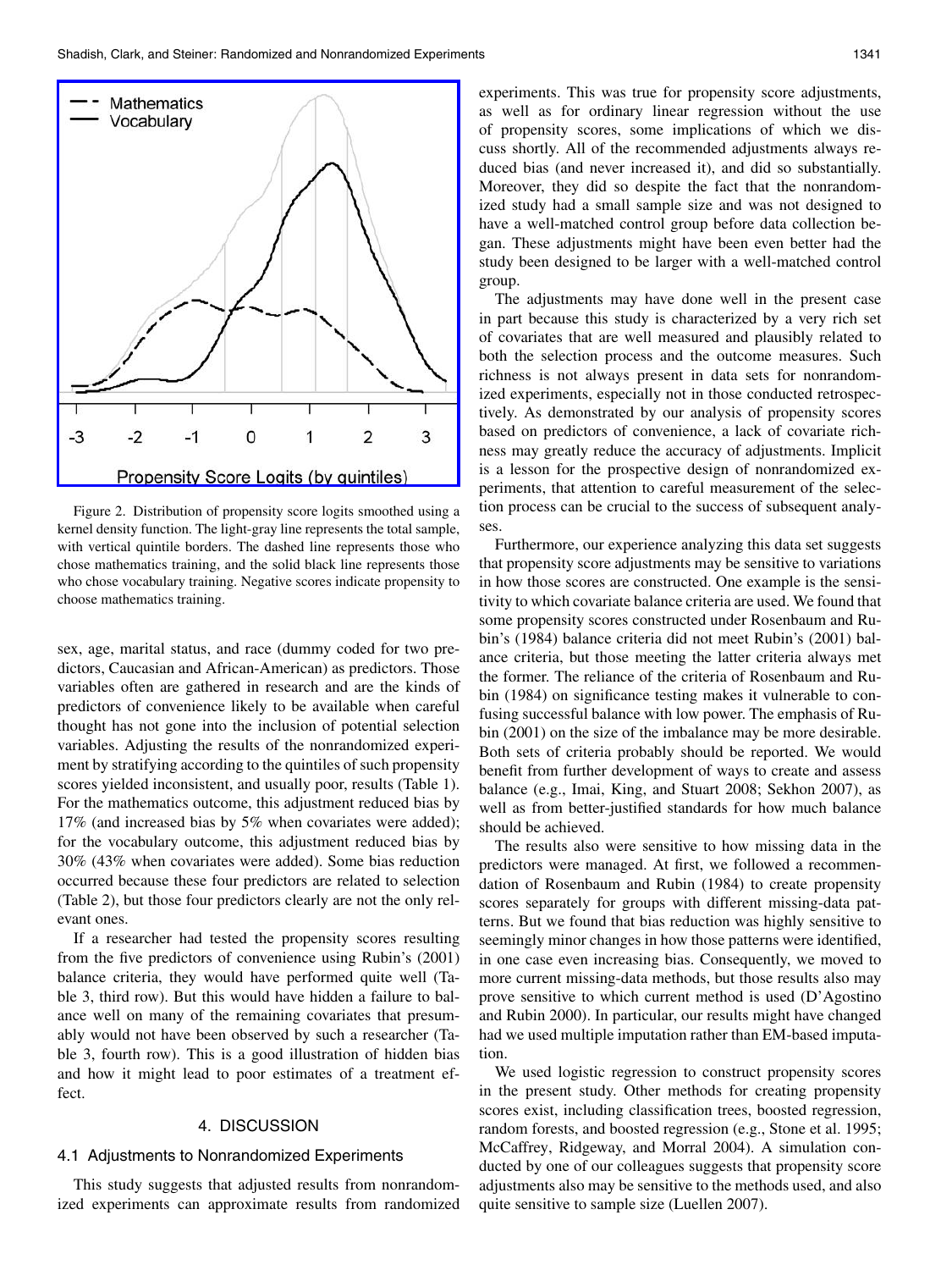

Figure 2. Distribution of propensity score logits smoothed using a kernel density function. The light-gray line represents the total sample, with vertical quintile borders. The dashed line represents those who chose mathematics training, and the solid black line represents those who chose vocabulary training. Negative scores indicate propensity to choose mathematics training.

sex, age, marital status, and race (dummy coded for two predictors, Caucasian and African-American) as predictors. Those variables often are gathered in research and are the kinds of predictors of convenience likely to be available when careful thought has not gone into the inclusion of potential selection variables. Adjusting the results of the nonrandomized experiment by stratifying according to the quintiles of such propensity scores yielded inconsistent, and usually poor, results (Table 1). For the mathematics outcome, this adjustment reduced bias by 17% (and increased bias by 5% when covariates were added); for the vocabulary outcome, this adjustment reduced bias by 30% (43% when covariates were added). Some bias reduction occurred because these four predictors are related to selection (Table 2), but those four predictors clearly are not the only relevant ones.

If a researcher had tested the propensity scores resulting from the five predictors of convenience using Rubin's (2001) balance criteria, they would have performed quite well (Table 3, third row). But this would have hidden a failure to balance well on many of the remaining covariates that presumably would not have been observed by such a researcher (Table 3, fourth row). This is a good illustration of hidden bias and how it might lead to poor estimates of a treatment effect.

#### 4. DISCUSSION

## 4.1 Adjustments to Nonrandomized Experiments

This study suggests that adjusted results from nonrandomized experiments can approximate results from randomized experiments. This was true for propensity score adjustments, as well as for ordinary linear regression without the use of propensity scores, some implications of which we discuss shortly. All of the recommended adjustments always reduced bias (and never increased it), and did so substantially. Moreover, they did so despite the fact that the nonrandomized study had a small sample size and was not designed to have a well-matched control group before data collection began. These adjustments might have been even better had the study been designed to be larger with a well-matched control group.

The adjustments may have done well in the present case in part because this study is characterized by a very rich set of covariates that are well measured and plausibly related to both the selection process and the outcome measures. Such richness is not always present in data sets for nonrandomized experiments, especially not in those conducted retrospectively. As demonstrated by our analysis of propensity scores based on predictors of convenience, a lack of covariate richness may greatly reduce the accuracy of adjustments. Implicit is a lesson for the prospective design of nonrandomized experiments, that attention to careful measurement of the selection process can be crucial to the success of subsequent analyses.

Furthermore, our experience analyzing this data set suggests that propensity score adjustments may be sensitive to variations in how those scores are constructed. One example is the sensitivity to which covariate balance criteria are used. We found that some propensity scores constructed under Rosenbaum and Rubin's (1984) balance criteria did not meet Rubin's (2001) balance criteria, but those meeting the latter criteria always met the former. The reliance of the criteria of Rosenbaum and Rubin (1984) on significance testing makes it vulnerable to confusing successful balance with low power. The emphasis of Rubin (2001) on the size of the imbalance may be more desirable. Both sets of criteria probably should be reported. We would benefit from further development of ways to create and assess balance (e.g., Imai, King, and Stuart 2008; Sekhon 2007), as well as from better-justified standards for how much balance should be achieved.

The results also were sensitive to how missing data in the predictors were managed. At first, we followed a recommendation of Rosenbaum and Rubin (1984) to create propensity scores separately for groups with different missing-data patterns. But we found that bias reduction was highly sensitive to seemingly minor changes in how those patterns were identified, in one case even increasing bias. Consequently, we moved to more current missing-data methods, but those results also may prove sensitive to which current method is used (D'Agostino and Rubin 2000). In particular, our results might have changed had we used multiple imputation rather than EM-based imputation.

We used logistic regression to construct propensity scores in the present study. Other methods for creating propensity scores exist, including classification trees, boosted regression, random forests, and boosted regression (e.g., Stone et al. 1995; McCaffrey, Ridgeway, and Morral 2004). A simulation conducted by one of our colleagues suggests that propensity score adjustments also may be sensitive to the methods used, and also quite sensitive to sample size (Luellen 2007).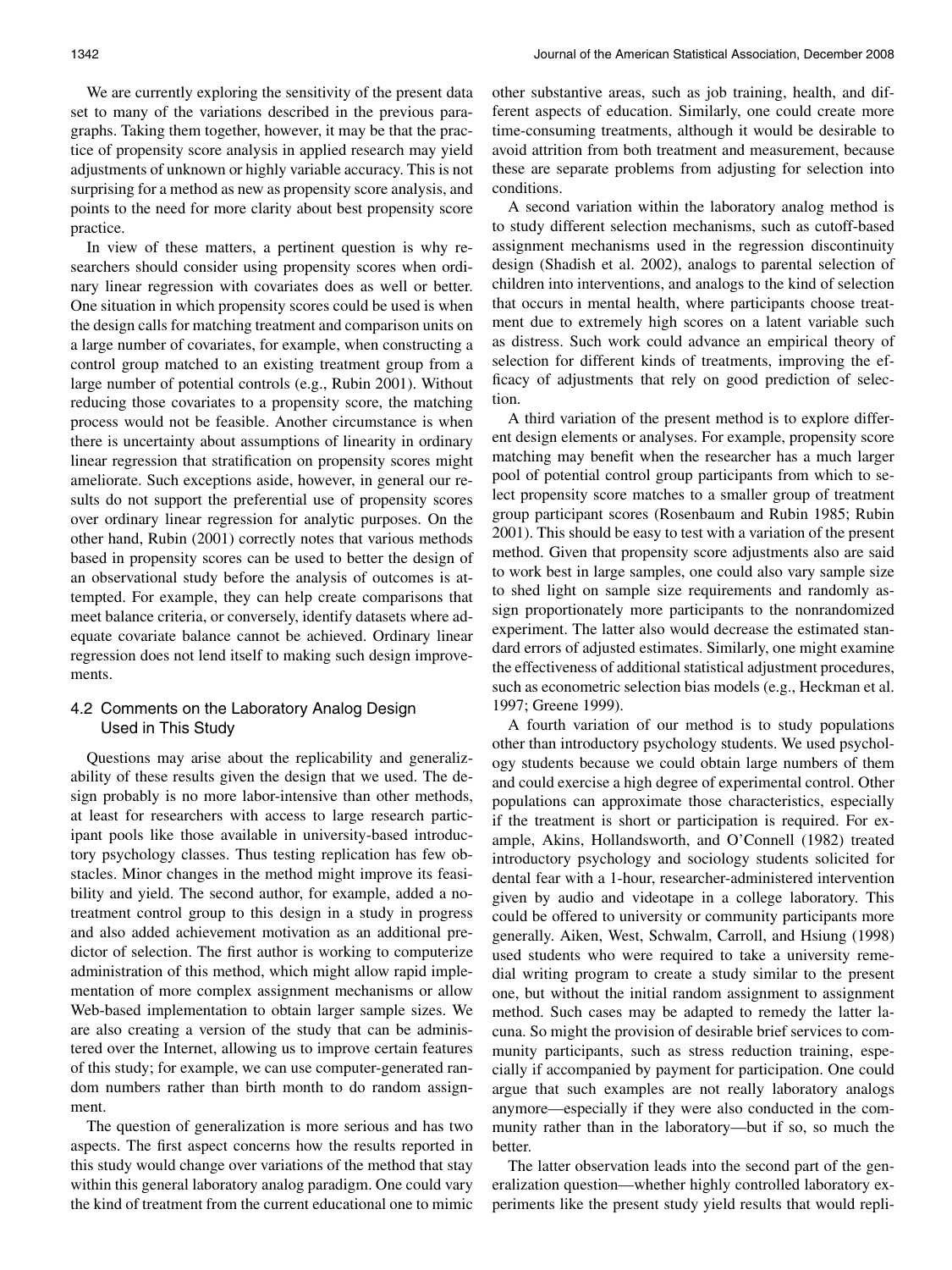We are currently exploring the sensitivity of the present data set to many of the variations described in the previous paragraphs. Taking them together, however, it may be that the practice of propensity score analysis in applied research may yield adjustments of unknown or highly variable accuracy. This is not surprising for a method as new as propensity score analysis, and points to the need for more clarity about best propensity score practice.

In view of these matters, a pertinent question is why researchers should consider using propensity scores when ordinary linear regression with covariates does as well or better. One situation in which propensity scores could be used is when the design calls for matching treatment and comparison units on a large number of covariates, for example, when constructing a control group matched to an existing treatment group from a large number of potential controls (e.g., Rubin 2001). Without reducing those covariates to a propensity score, the matching process would not be feasible. Another circumstance is when there is uncertainty about assumptions of linearity in ordinary linear regression that stratification on propensity scores might ameliorate. Such exceptions aside, however, in general our results do not support the preferential use of propensity scores over ordinary linear regression for analytic purposes. On the other hand, Rubin (2001) correctly notes that various methods based in propensity scores can be used to better the design of an observational study before the analysis of outcomes is attempted. For example, they can help create comparisons that meet balance criteria, or conversely, identify datasets where adequate covariate balance cannot be achieved. Ordinary linear regression does not lend itself to making such design improvements.

## 4.2 Comments on the Laboratory Analog Design Used in This Study

Questions may arise about the replicability and generalizability of these results given the design that we used. The design probably is no more labor-intensive than other methods, at least for researchers with access to large research participant pools like those available in university-based introductory psychology classes. Thus testing replication has few obstacles. Minor changes in the method might improve its feasibility and yield. The second author, for example, added a notreatment control group to this design in a study in progress and also added achievement motivation as an additional predictor of selection. The first author is working to computerize administration of this method, which might allow rapid implementation of more complex assignment mechanisms or allow Web-based implementation to obtain larger sample sizes. We are also creating a version of the study that can be administered over the Internet, allowing us to improve certain features of this study; for example, we can use computer-generated random numbers rather than birth month to do random assignment.

The question of generalization is more serious and has two aspects. The first aspect concerns how the results reported in this study would change over variations of the method that stay within this general laboratory analog paradigm. One could vary the kind of treatment from the current educational one to mimic other substantive areas, such as job training, health, and different aspects of education. Similarly, one could create more time-consuming treatments, although it would be desirable to avoid attrition from both treatment and measurement, because these are separate problems from adjusting for selection into conditions.

A second variation within the laboratory analog method is to study different selection mechanisms, such as cutoff-based assignment mechanisms used in the regression discontinuity design (Shadish et al. 2002), analogs to parental selection of children into interventions, and analogs to the kind of selection that occurs in mental health, where participants choose treatment due to extremely high scores on a latent variable such as distress. Such work could advance an empirical theory of selection for different kinds of treatments, improving the efficacy of adjustments that rely on good prediction of selection.

A third variation of the present method is to explore different design elements or analyses. For example, propensity score matching may benefit when the researcher has a much larger pool of potential control group participants from which to select propensity score matches to a smaller group of treatment group participant scores (Rosenbaum and Rubin 1985; Rubin 2001). This should be easy to test with a variation of the present method. Given that propensity score adjustments also are said to work best in large samples, one could also vary sample size to shed light on sample size requirements and randomly assign proportionately more participants to the nonrandomized experiment. The latter also would decrease the estimated standard errors of adjusted estimates. Similarly, one might examine the effectiveness of additional statistical adjustment procedures, such as econometric selection bias models (e.g., Heckman et al. 1997; Greene 1999).

A fourth variation of our method is to study populations other than introductory psychology students. We used psychology students because we could obtain large numbers of them and could exercise a high degree of experimental control. Other populations can approximate those characteristics, especially if the treatment is short or participation is required. For example, Akins, Hollandsworth, and O'Connell (1982) treated introductory psychology and sociology students solicited for dental fear with a 1-hour, researcher-administered intervention given by audio and videotape in a college laboratory. This could be offered to university or community participants more generally. Aiken, West, Schwalm, Carroll, and Hsiung (1998) used students who were required to take a university remedial writing program to create a study similar to the present one, but without the initial random assignment to assignment method. Such cases may be adapted to remedy the latter lacuna. So might the provision of desirable brief services to community participants, such as stress reduction training, especially if accompanied by payment for participation. One could argue that such examples are not really laboratory analogs anymore—especially if they were also conducted in the community rather than in the laboratory—but if so, so much the better.

The latter observation leads into the second part of the generalization question—whether highly controlled laboratory experiments like the present study yield results that would repli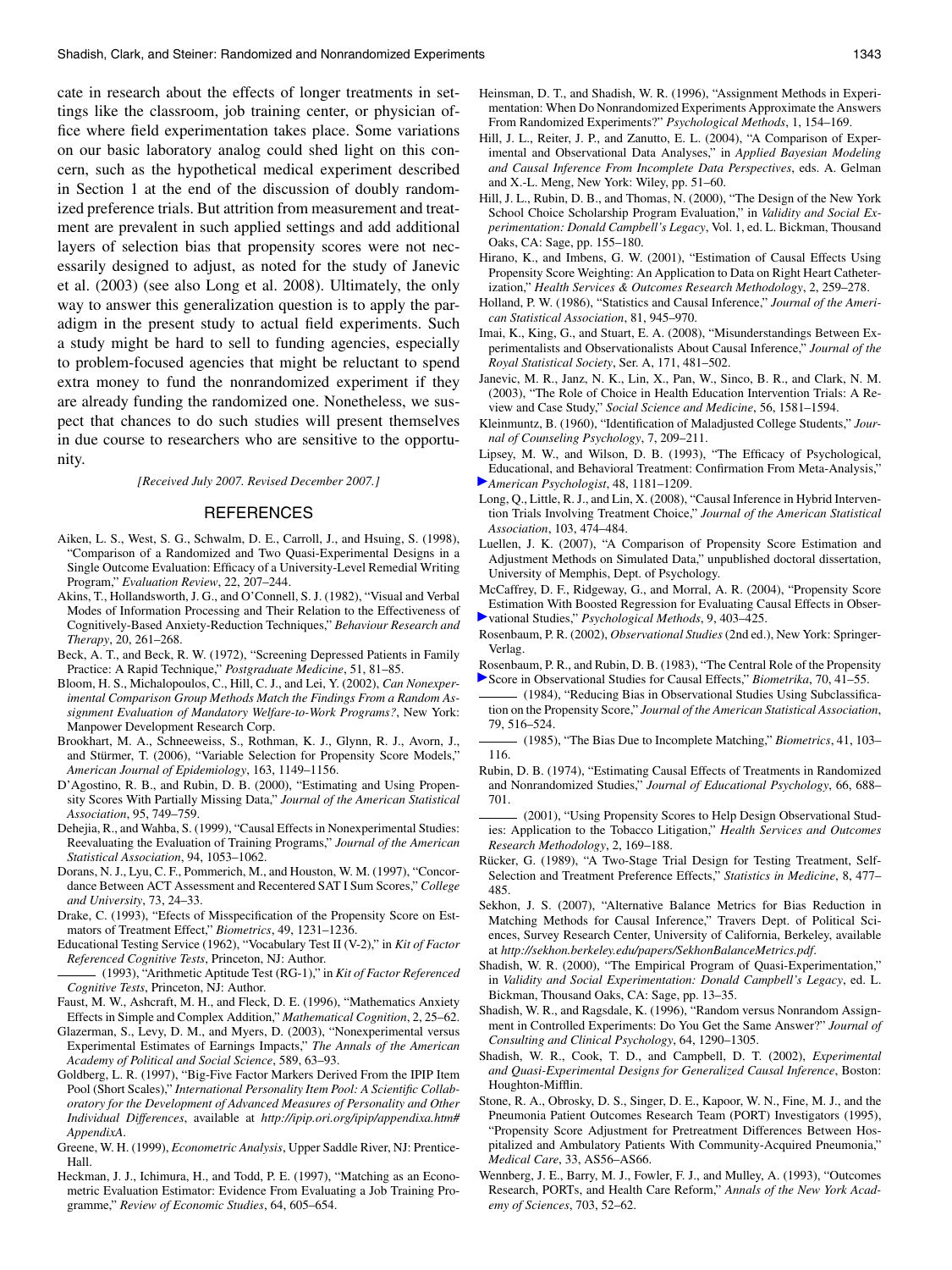cate in research about the effects of longer treatments in settings like the classroom, job training center, or physician office where field experimentation takes place. Some variations on our basic laboratory analog could shed light on this concern, such as the hypothetical medical experiment described in Section 1 at the end of the discussion of doubly randomized preference trials. But attrition from measurement and treatment are prevalent in such applied settings and add additional layers of selection bias that propensity scores were not necessarily designed to adjust, as noted for the study of Janevic et al. (2003) (see also Long et al. 2008). Ultimately, the only way to answer this generalization question is to apply the paradigm in the present study to actual field experiments. Such a study might be hard to sell to funding agencies, especially to problem-focused agencies that might be reluctant to spend extra money to fund the nonrandomized experiment if they are already funding the randomized one. Nonetheless, we suspect that chances to do such studies will present themselves in due course to researchers who are sensitive to the opportunity.

*[Received July 2007. Revised December 2007.]*

#### **REFERENCES**

- Aiken, L. S., West, S. G., Schwalm, D. E., Carroll, J., and Hsuing, S. (1998), "Comparison of a Randomized and Two Quasi-Experimental Designs in a Single Outcome Evaluation: Efficacy of a University-Level Remedial Writing Program," *Evaluation Review*, 22, 207–244.
- Akins, T., Hollandsworth, J. G., and O'Connell, S. J. (1982), "Visual and Verbal Modes of Information Processing and Their Relation to the Effectiveness of Cognitively-Based Anxiety-Reduction Techniques," *Behaviour Research and Therapy*, 20, 261–268.
- Beck, A. T., and Beck, R. W. (1972), "Screening Depressed Patients in Family Practice: A Rapid Technique," *Postgraduate Medicine*, 51, 81–85.
- Bloom, H. S., Michalopoulos, C., Hill, C. J., and Lei, Y. (2002), *Can Nonexperimental Comparison Group Methods Match the Findings From a Random Assignment Evaluation of Mandatory Welfare-to-Work Programs?*, New York: Manpower Development Research Corp.
- Brookhart, M. A., Schneeweiss, S., Rothman, K. J., Glynn, R. J., Avorn, J., and Stürmer, T. (2006), "Variable Selection for Propensity Score Models," *American Journal of Epidemiology*, 163, 1149–1156.
- D'Agostino, R. B., and Rubin, D. B. (2000), "Estimating and Using Propensity Scores With Partially Missing Data," *Journal of the American Statistical Association*, 95, 749–759.
- Dehejia, R., and Wahba, S. (1999), "Causal Effects in Nonexperimental Studies: Reevaluating the Evaluation of Training Programs," *Journal of the American Statistical Association*, 94, 1053–1062.
- Dorans, N. J., Lyu, C. F., Pommerich, M., and Houston, W. M. (1997), "Concordance Between ACT Assessment and Recentered SAT I Sum Scores," *College and University*, 73, 24–33.
- Drake, C. (1993), "Efects of Misspecification of the Propensity Score on Estmators of Treatment Effect," *Biometrics*, 49, 1231–1236.
- Educational Testing Service (1962), "Vocabulary Test II (V-2)," in *Kit of Factor Referenced Cognitive Tests*, Princeton, NJ: Author.
- (1993), "Arithmetic Aptitude Test (RG-1)," in *Kit of Factor Referenced Cognitive Tests*, Princeton, NJ: Author.
- Faust, M. W., Ashcraft, M. H., and Fleck, D. E. (1996), "Mathematics Anxiety Effects in Simple and Complex Addition," *Mathematical Cognition*, 2, 25–62.
- Glazerman, S., Levy, D. M., and Myers, D. (2003), "Nonexperimental versus Experimental Estimates of Earnings Impacts," *The Annals of the American Academy of Political and Social Science*, 589, 63–93.
- Goldberg, L. R. (1997), "Big-Five Factor Markers Derived From the IPIP Item Pool (Short Scales)," *International Personality Item Pool: A Scientific Collaboratory for the Development of Advanced Measures of Personality and Other Individual Differences*, available at *http://ipip.ori.org/ipip/appendixa.htm# AppendixA*.
- Greene, W. H. (1999), *Econometric Analysis*, Upper Saddle River, NJ: Prentice-Hall.
- Heckman, J. J., Ichimura, H., and Todd, P. E. (1997), "Matching as an Econometric Evaluation Estimator: Evidence From Evaluating a Job Training Programme," *Review of Economic Studies*, 64, 605–654.
- Heinsman, D. T., and Shadish, W. R. (1996), "Assignment Methods in Experimentation: When Do Nonrandomized Experiments Approximate the Answers From Randomized Experiments?" *Psychological Methods*, 1, 154–169.
- Hill, J. L., Reiter, J. P., and Zanutto, E. L. (2004), "A Comparison of Experimental and Observational Data Analyses," in *Applied Bayesian Modeling and Causal Inference From Incomplete Data Perspectives*, eds. A. Gelman and X.-L. Meng, New York: Wiley, pp. 51–60.
- Hill, J. L., Rubin, D. B., and Thomas, N. (2000), "The Design of the New York School Choice Scholarship Program Evaluation," in *Validity and Social Experimentation: Donald Campbell's Legacy*, Vol. 1, ed. L. Bickman, Thousand Oaks, CA: Sage, pp. 155–180.
- Hirano, K., and Imbens, G. W. (2001), "Estimation of Causal Effects Using Propensity Score Weighting: An Application to Data on Right Heart Catheterization," *Health Services & Outcomes Research Methodology*, 2, 259–278.
- Holland, P. W. (1986), "Statistics and Causal Inference," *Journal of the American Statistical Association*, 81, 945–970.
- Imai, K., King, G., and Stuart, E. A. (2008), "Misunderstandings Between Experimentalists and Observationalists About Causal Inference," *Journal of the Royal Statistical Society*, Ser. A, 171, 481–502.
- Janevic, M. R., Janz, N. K., Lin, X., Pan, W., Sinco, B. R., and Clark, N. M. (2003), "The Role of Choice in Health Education Intervention Trials: A Review and Case Study," *Social Science and Medicine*, 56, 1581–1594.
- Kleinmuntz, B. (1960), "Identification of Maladjusted College Students," *Journal of Counseling Psychology*, 7, 209–211.
- Lipsey, M. W., and Wilson, D. B. (1993), "The Efficacy of Psychological, Educational, and Behavioral Treatment: Confirmation From Meta-Analysis," *American Psychologist*, 48, 1181–1209.
- Long, Q., Little, R. J., and Lin, X. (2008), "Causal Inference in Hybrid Intervention Trials Involving Treatment Choice," *Journal of the American Statistical Association*, 103, 474–484.
- Luellen, J. K. (2007), "A Comparison of Propensity Score Estimation and Adjustment Methods on Simulated Data," unpublished doctoral dissertation, University of Memphis, Dept. of Psychology.
- McCaffrey, D. F., Ridgeway, G., and Morral, A. R. (2004), "Propensity Score Estimation With Boosted Regression for Evaluating Causal Effects in Observational Studies," *Psychological Methods*, 9, 403–425.
- Rosenbaum, P. R. (2002), *Observational Studies* (2nd ed.), New York: Springer-Verlag.
- Rosenbaum, P. R., and Rubin, D. B. (1983), "The Central Role of the Propensity Score in Observational Studies for Causal Effects," *Biometrika*, 70, 41–55.
- (1984), "Reducing Bias in Observational Studies Using Subclassification on the Propensity Score," *Journal of the American Statistical Association*, 79, 516–524.
- (1985), "The Bias Due to Incomplete Matching," *Biometrics*, 41, 103– 116.
- Rubin, D. B. (1974), "Estimating Causal Effects of Treatments in Randomized and Nonrandomized Studies," *Journal of Educational Psychology*, 66, 688– 701.
- (2001), "Using Propensity Scores to Help Design Observational Studies: Application to the Tobacco Litigation," *Health Services and Outcomes Research Methodology*, 2, 169–188.
- Rücker, G. (1989), "A Two-Stage Trial Design for Testing Treatment, Self-Selection and Treatment Preference Effects," *Statistics in Medicine*, 8, 477– 485.
- Sekhon, J. S. (2007), "Alternative Balance Metrics for Bias Reduction in Matching Methods for Causal Inference," Travers Dept. of Political Sciences, Survey Research Center, University of California, Berkeley, available at *http://sekhon.berkeley.edu/papers/SekhonBalanceMetrics.pdf*.
- Shadish, W. R. (2000), "The Empirical Program of Quasi-Experimentation," in *Validity and Social Experimentation: Donald Campbell's Legacy*, ed. L. Bickman, Thousand Oaks, CA: Sage, pp. 13–35.
- Shadish, W. R., and Ragsdale, K. (1996), "Random versus Nonrandom Assignment in Controlled Experiments: Do You Get the Same Answer?" *Journal of Consulting and Clinical Psychology*, 64, 1290–1305.
- Shadish, W. R., Cook, T. D., and Campbell, D. T. (2002), *Experimental and Quasi-Experimental Designs for Generalized Causal Inference*, Boston: Houghton-Mifflin.
- Stone, R. A., Obrosky, D. S., Singer, D. E., Kapoor, W. N., Fine, M. J., and the Pneumonia Patient Outcomes Research Team (PORT) Investigators (1995), "Propensity Score Adjustment for Pretreatment Differences Between Hospitalized and Ambulatory Patients With Community-Acquired Pneumonia," *Medical Care*, 33, AS56–AS66.
- Wennberg, J. E., Barry, M. J., Fowler, F. J., and Mulley, A. (1993), "Outcomes Research, PORTs, and Health Care Reform," *Annals of the New York Academy of Sciences*, 703, 52–62.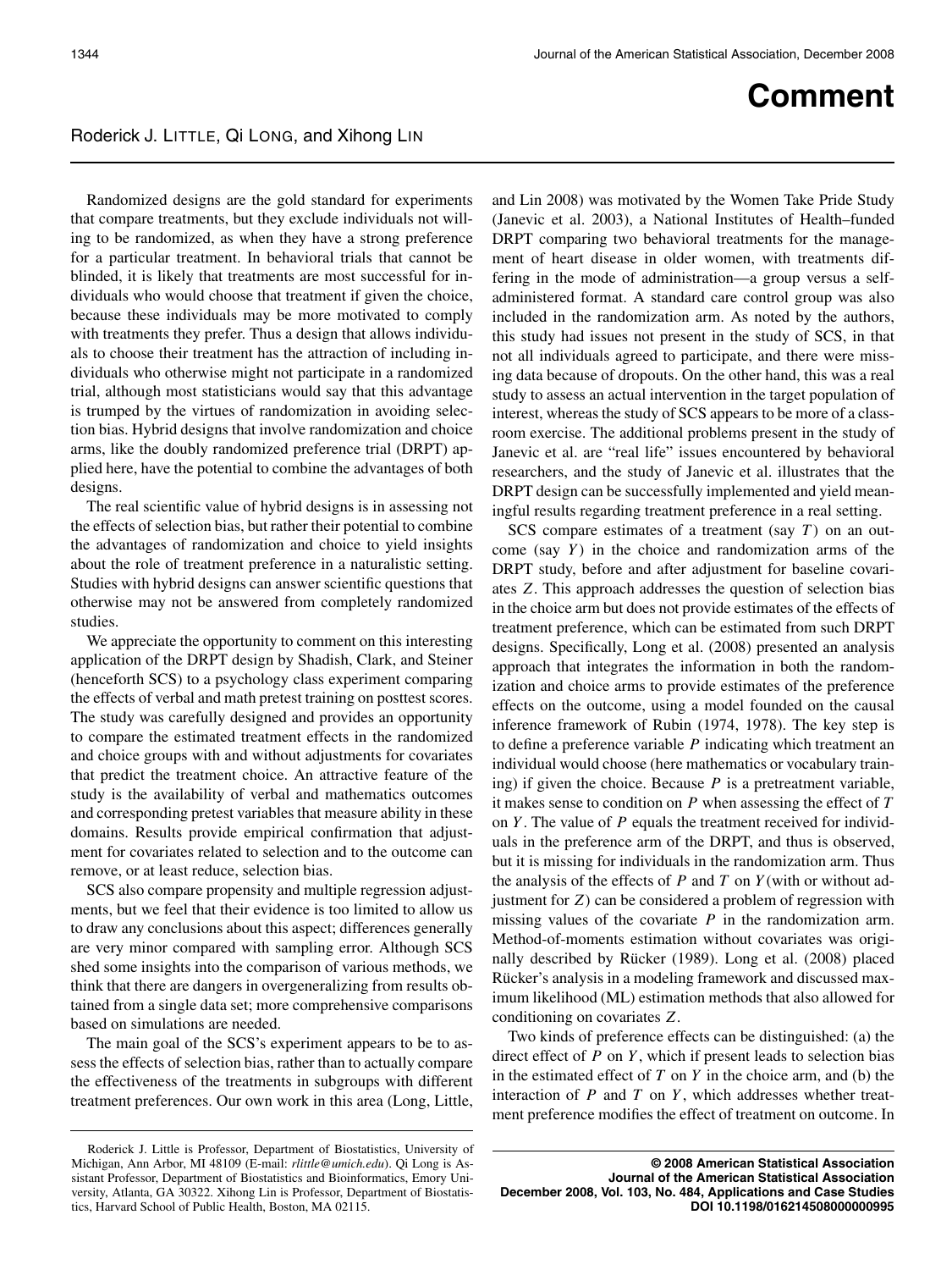# **Comment**

## Roderick J. LITTLE, Qi LONG, and Xihong LIN

Randomized designs are the gold standard for experiments that compare treatments, but they exclude individuals not willing to be randomized, as when they have a strong preference for a particular treatment. In behavioral trials that cannot be blinded, it is likely that treatments are most successful for individuals who would choose that treatment if given the choice, because these individuals may be more motivated to comply with treatments they prefer. Thus a design that allows individuals to choose their treatment has the attraction of including individuals who otherwise might not participate in a randomized trial, although most statisticians would say that this advantage is trumped by the virtues of randomization in avoiding selection bias. Hybrid designs that involve randomization and choice arms, like the doubly randomized preference trial (DRPT) applied here, have the potential to combine the advantages of both designs.

The real scientific value of hybrid designs is in assessing not the effects of selection bias, but rather their potential to combine the advantages of randomization and choice to yield insights about the role of treatment preference in a naturalistic setting. Studies with hybrid designs can answer scientific questions that otherwise may not be answered from completely randomized studies.

We appreciate the opportunity to comment on this interesting application of the DRPT design by Shadish, Clark, and Steiner (henceforth SCS) to a psychology class experiment comparing the effects of verbal and math pretest training on posttest scores. The study was carefully designed and provides an opportunity to compare the estimated treatment effects in the randomized and choice groups with and without adjustments for covariates that predict the treatment choice. An attractive feature of the study is the availability of verbal and mathematics outcomes and corresponding pretest variables that measure ability in these domains. Results provide empirical confirmation that adjustment for covariates related to selection and to the outcome can remove, or at least reduce, selection bias.

SCS also compare propensity and multiple regression adjustments, but we feel that their evidence is too limited to allow us to draw any conclusions about this aspect; differences generally are very minor compared with sampling error. Although SCS shed some insights into the comparison of various methods, we think that there are dangers in overgeneralizing from results obtained from a single data set; more comprehensive comparisons based on simulations are needed.

The main goal of the SCS's experiment appears to be to assess the effects of selection bias, rather than to actually compare the effectiveness of the treatments in subgroups with different treatment preferences. Our own work in this area (Long, Little, and Lin 2008) was motivated by the Women Take Pride Study (Janevic et al. 2003), a National Institutes of Health–funded DRPT comparing two behavioral treatments for the management of heart disease in older women, with treatments differing in the mode of administration—a group versus a selfadministered format. A standard care control group was also included in the randomization arm. As noted by the authors, this study had issues not present in the study of SCS, in that not all individuals agreed to participate, and there were missing data because of dropouts. On the other hand, this was a real study to assess an actual intervention in the target population of interest, whereas the study of SCS appears to be more of a classroom exercise. The additional problems present in the study of Janevic et al. are "real life" issues encountered by behavioral researchers, and the study of Janevic et al. illustrates that the DRPT design can be successfully implemented and yield meaningful results regarding treatment preference in a real setting.

SCS compare estimates of a treatment (say *T )* on an outcome (say *Y)* in the choice and randomization arms of the DRPT study, before and after adjustment for baseline covariates *Z*. This approach addresses the question of selection bias in the choice arm but does not provide estimates of the effects of treatment preference, which can be estimated from such DRPT designs. Specifically, Long et al. (2008) presented an analysis approach that integrates the information in both the randomization and choice arms to provide estimates of the preference effects on the outcome, using a model founded on the causal inference framework of Rubin (1974, 1978). The key step is to define a preference variable *P* indicating which treatment an individual would choose (here mathematics or vocabulary training) if given the choice. Because *P* is a pretreatment variable, it makes sense to condition on *P* when assessing the effect of *T* on *Y* . The value of *P* equals the treatment received for individuals in the preference arm of the DRPT, and thus is observed, but it is missing for individuals in the randomization arm. Thus the analysis of the effects of  $P$  and  $T$  on  $Y$  (with or without adjustment for *Z)* can be considered a problem of regression with missing values of the covariate *P* in the randomization arm. Method-of-moments estimation without covariates was originally described by Rücker (1989). Long et al. (2008) placed Rücker's analysis in a modeling framework and discussed maximum likelihood (ML) estimation methods that also allowed for conditioning on covariates *Z*.

Two kinds of preference effects can be distinguished: (a) the direct effect of *P* on *Y* , which if present leads to selection bias in the estimated effect of  $T$  on  $Y$  in the choice arm, and (b) the interaction of *P* and *T* on *Y* , which addresses whether treatment preference modifies the effect of treatment on outcome. In

Roderick J. Little is Professor, Department of Biostatistics, University of Michigan, Ann Arbor, MI 48109 (E-mail: *rlittle@umich.edu*). Qi Long is Assistant Professor, Department of Biostatistics and Bioinformatics, Emory University, Atlanta, GA 30322. Xihong Lin is Professor, Department of Biostatistics, Harvard School of Public Health, Boston, MA 02115.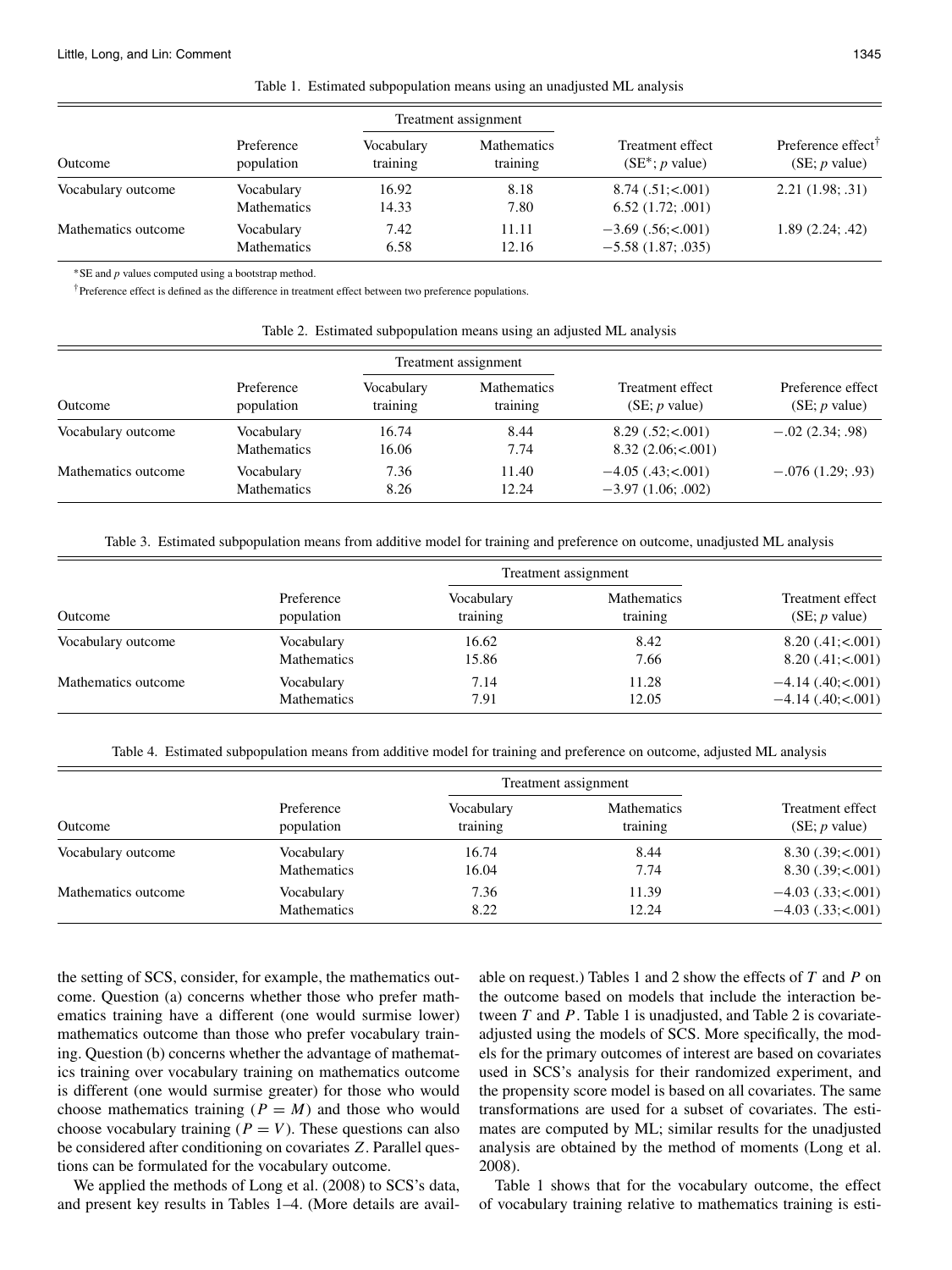#### Table 1. Estimated subpopulation means using an unadjusted ML analysis

|                     |                                  | Treatment assignment   |                         |                                              |                                                                       |
|---------------------|----------------------------------|------------------------|-------------------------|----------------------------------------------|-----------------------------------------------------------------------|
| Outcome             | Preference<br>population         | Vocabulary<br>training | Mathematics<br>training | Treatment effect<br>$(SE^*; p$ value)        | Preference effect <sup><math>\mathsf{T}</math></sup><br>(SE; p value) |
| Vocabulary outcome  | Vocabulary<br><b>Mathematics</b> | 16.92<br>14.33         | 8.18<br>7.80            | 8.74(.51; < .001)<br>6.52(1.72; .001)        | 2.21(1.98; .31)                                                       |
| Mathematics outcome | Vocabulary<br><b>Mathematics</b> | 7.42<br>6.58           | 11.11<br>12.16          | $-3.69$ (.56; < 001)<br>$-5.58$ (1.87; .035) | 1.89(2.24; .42)                                                       |

<sup>∗</sup>SE and *p* values computed using a bootstrap method.

†Preference effect is defined as the difference in treatment effect between two preference populations.

|  | Table 2. Estimated subpopulation means using an adjusted ML analysis |  |
|--|----------------------------------------------------------------------|--|
|  |                                                                      |  |

|                     |                                  |                        | Treatment assignment    |                                             |                                    |
|---------------------|----------------------------------|------------------------|-------------------------|---------------------------------------------|------------------------------------|
| Outcome             | Preference<br>population         | Vocabulary<br>training | Mathematics<br>training | Treatment effect<br>(SE; p value)           | Preference effect<br>(SE; p value) |
| Vocabulary outcome  | Vocabulary<br>Mathematics        | 16.74<br>16.06         | 8.44<br>7.74            | 8.29(.52; < .001)<br>8.32(2.06; < .001)     | $-.02$ (2.34; .98)                 |
| Mathematics outcome | Vocabulary<br><b>Mathematics</b> | 7.36<br>8.26           | 11.40<br>12.24          | $-4.05$ (.43; <.001)<br>$-3.97(1.06; .002)$ | $-.076(1.29; .93)$                 |

Table 3. Estimated subpopulation means from additive model for training and preference on outcome, unadjusted ML analysis

| Outcome             |                          | Treatment assignment   |                         |                                   |
|---------------------|--------------------------|------------------------|-------------------------|-----------------------------------|
|                     | Preference<br>population | Vocabulary<br>training | Mathematics<br>training | Treatment effect<br>(SE; p value) |
| Vocabulary outcome  | Vocabulary               | 16.62                  | 8.42                    | 8.20(.41; < .001)                 |
|                     | Mathematics              | 15.86                  | 7.66                    | 8.20(.41; < .001)                 |
| Mathematics outcome | Vocabulary               | 7.14                   | 11.28                   | $-4.14$ (.40; <.001)              |
|                     | Mathematics              | 7.91                   | 12.05                   | $-4.14$ (.40; <.001)              |

Table 4. Estimated subpopulation means from additive model for training and preference on outcome, adjusted ML analysis

|                     |                          | Treatment assignment   |                                |                                   |  |  |
|---------------------|--------------------------|------------------------|--------------------------------|-----------------------------------|--|--|
| Outcome             | Preference<br>population | Vocabulary<br>training | <b>Mathematics</b><br>training | Treatment effect<br>(SE; p value) |  |  |
| Vocabulary outcome  | Vocabulary               | 16.74                  | 8.44                           | 8.30(.39; < .001)                 |  |  |
|                     | <b>Mathematics</b>       | 16.04                  | 7.74                           | 8.30(.39; < .001)                 |  |  |
| Mathematics outcome | Vocabulary               | 7.36                   | 11.39                          | $-4.03$ (.33; <.001)              |  |  |
|                     | <b>Mathematics</b>       | 8.22                   | 12.24                          | $-4.03$ (.33; <.001)              |  |  |

the setting of SCS, consider, for example, the mathematics outcome. Question (a) concerns whether those who prefer mathematics training have a different (one would surmise lower) mathematics outcome than those who prefer vocabulary training. Question (b) concerns whether the advantage of mathematics training over vocabulary training on mathematics outcome is different (one would surmise greater) for those who would choose mathematics training  $(P = M)$  and those who would choose vocabulary training  $(P = V)$ . These questions can also be considered after conditioning on covariates *Z*. Parallel questions can be formulated for the vocabulary outcome.

We applied the methods of Long et al. (2008) to SCS's data, and present key results in Tables 1–4. (More details are available on request.) Tables 1 and 2 show the effects of *T* and *P* on the outcome based on models that include the interaction between *T* and *P* . Table 1 is unadjusted, and Table 2 is covariateadjusted using the models of SCS. More specifically, the models for the primary outcomes of interest are based on covariates used in SCS's analysis for their randomized experiment, and the propensity score model is based on all covariates. The same transformations are used for a subset of covariates. The estimates are computed by ML; similar results for the unadjusted analysis are obtained by the method of moments (Long et al. 2008).

Table 1 shows that for the vocabulary outcome, the effect of vocabulary training relative to mathematics training is esti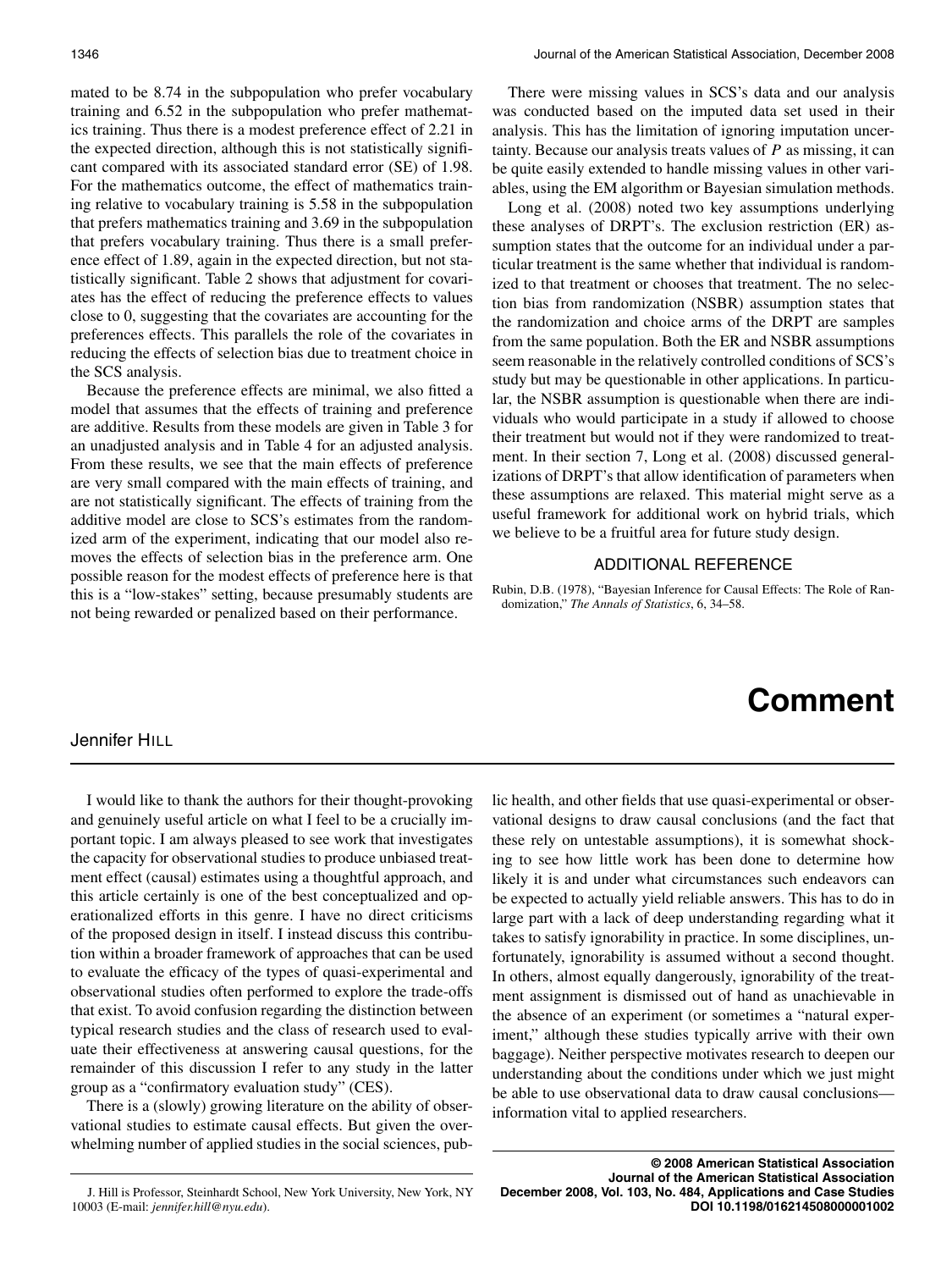mated to be 8.74 in the subpopulation who prefer vocabulary training and 6.52 in the subpopulation who prefer mathematics training. Thus there is a modest preference effect of 2.21 in the expected direction, although this is not statistically significant compared with its associated standard error (SE) of 1.98. For the mathematics outcome, the effect of mathematics training relative to vocabulary training is 5.58 in the subpopulation that prefers mathematics training and 3.69 in the subpopulation that prefers vocabulary training. Thus there is a small preference effect of 1.89, again in the expected direction, but not statistically significant. Table 2 shows that adjustment for covariates has the effect of reducing the preference effects to values close to 0, suggesting that the covariates are accounting for the preferences effects. This parallels the role of the covariates in reducing the effects of selection bias due to treatment choice in the SCS analysis.

Because the preference effects are minimal, we also fitted a model that assumes that the effects of training and preference are additive. Results from these models are given in Table 3 for an unadjusted analysis and in Table 4 for an adjusted analysis. From these results, we see that the main effects of preference are very small compared with the main effects of training, and are not statistically significant. The effects of training from the additive model are close to SCS's estimates from the randomized arm of the experiment, indicating that our model also removes the effects of selection bias in the preference arm. One possible reason for the modest effects of preference here is that this is a "low-stakes" setting, because presumably students are not being rewarded or penalized based on their performance.

There were missing values in SCS's data and our analysis was conducted based on the imputed data set used in their analysis. This has the limitation of ignoring imputation uncertainty. Because our analysis treats values of *P* as missing, it can be quite easily extended to handle missing values in other variables, using the EM algorithm or Bayesian simulation methods.

Long et al. (2008) noted two key assumptions underlying these analyses of DRPT's. The exclusion restriction (ER) assumption states that the outcome for an individual under a particular treatment is the same whether that individual is randomized to that treatment or chooses that treatment. The no selection bias from randomization (NSBR) assumption states that the randomization and choice arms of the DRPT are samples from the same population. Both the ER and NSBR assumptions seem reasonable in the relatively controlled conditions of SCS's study but may be questionable in other applications. In particular, the NSBR assumption is questionable when there are individuals who would participate in a study if allowed to choose their treatment but would not if they were randomized to treatment. In their section 7, Long et al. (2008) discussed generalizations of DRPT's that allow identification of parameters when these assumptions are relaxed. This material might serve as a useful framework for additional work on hybrid trials, which we believe to be a fruitful area for future study design.

## ADDITIONAL REFERENCE

Rubin, D.B. (1978), "Bayesian Inference for Causal Effects: The Role of Randomization," *The Annals of Statistics*, 6, 34–58.

## **Comment**

## Jennifer HILL

I would like to thank the authors for their thought-provoking and genuinely useful article on what I feel to be a crucially important topic. I am always pleased to see work that investigates the capacity for observational studies to produce unbiased treatment effect (causal) estimates using a thoughtful approach, and this article certainly is one of the best conceptualized and operationalized efforts in this genre. I have no direct criticisms of the proposed design in itself. I instead discuss this contribution within a broader framework of approaches that can be used to evaluate the efficacy of the types of quasi-experimental and observational studies often performed to explore the trade-offs that exist. To avoid confusion regarding the distinction between typical research studies and the class of research used to evaluate their effectiveness at answering causal questions, for the remainder of this discussion I refer to any study in the latter group as a "confirmatory evaluation study" (CES).

There is a (slowly) growing literature on the ability of observational studies to estimate causal effects. But given the overwhelming number of applied studies in the social sciences, public health, and other fields that use quasi-experimental or observational designs to draw causal conclusions (and the fact that these rely on untestable assumptions), it is somewhat shocking to see how little work has been done to determine how likely it is and under what circumstances such endeavors can be expected to actually yield reliable answers. This has to do in large part with a lack of deep understanding regarding what it takes to satisfy ignorability in practice. In some disciplines, unfortunately, ignorability is assumed without a second thought. In others, almost equally dangerously, ignorability of the treatment assignment is dismissed out of hand as unachievable in the absence of an experiment (or sometimes a "natural experiment," although these studies typically arrive with their own baggage). Neither perspective motivates research to deepen our understanding about the conditions under which we just might be able to use observational data to draw causal conclusions information vital to applied researchers.

J. Hill is Professor, Steinhardt School, New York University, New York, NY 10003 (E-mail: *jennifer.hill@nyu.edu*).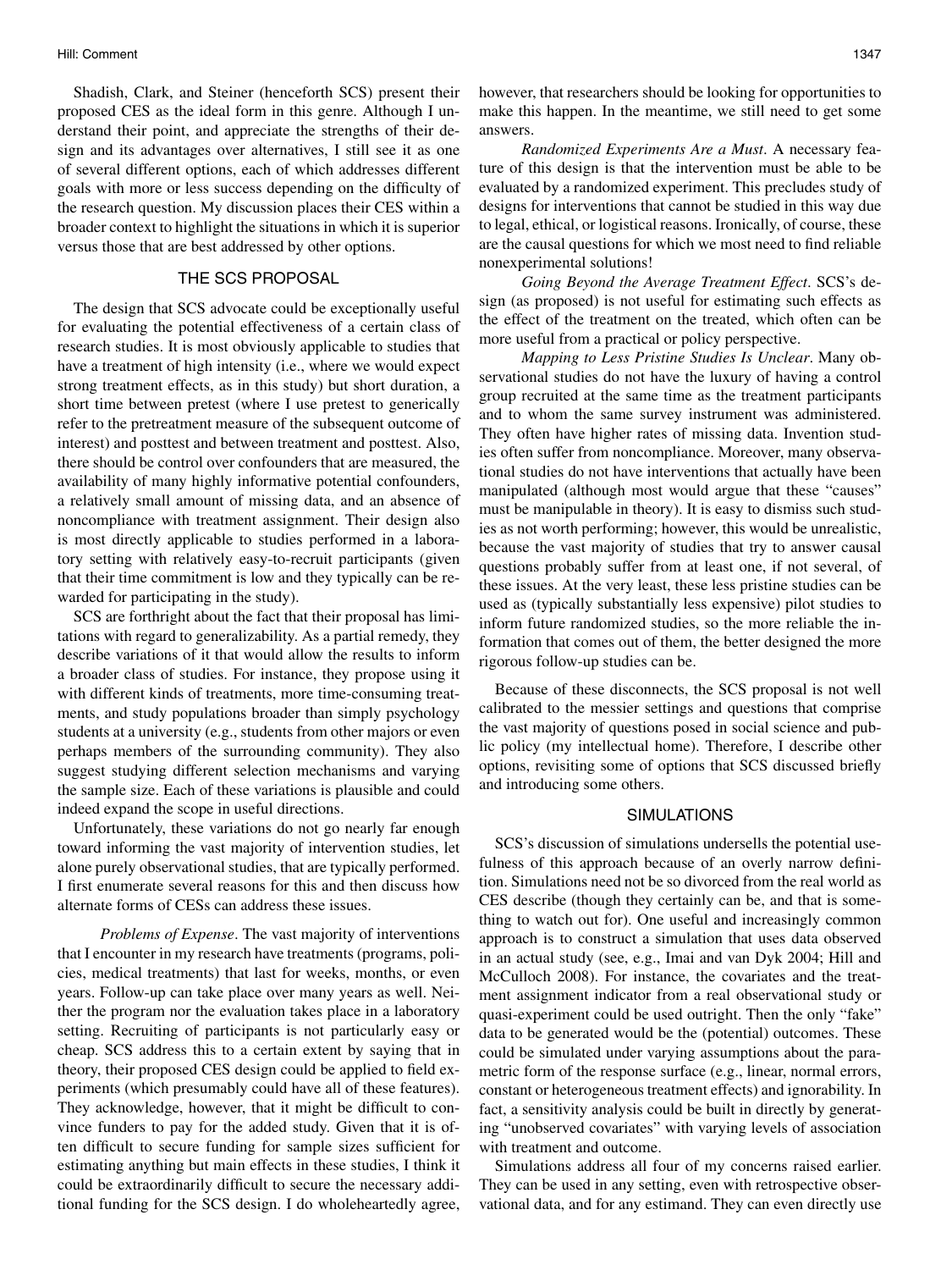Shadish, Clark, and Steiner (henceforth SCS) present their proposed CES as the ideal form in this genre. Although I understand their point, and appreciate the strengths of their design and its advantages over alternatives, I still see it as one of several different options, each of which addresses different goals with more or less success depending on the difficulty of the research question. My discussion places their CES within a broader context to highlight the situations in which it is superior versus those that are best addressed by other options.

#### THE SCS PROPOSAL

The design that SCS advocate could be exceptionally useful for evaluating the potential effectiveness of a certain class of research studies. It is most obviously applicable to studies that have a treatment of high intensity (i.e., where we would expect strong treatment effects, as in this study) but short duration, a short time between pretest (where I use pretest to generically refer to the pretreatment measure of the subsequent outcome of interest) and posttest and between treatment and posttest. Also, there should be control over confounders that are measured, the availability of many highly informative potential confounders, a relatively small amount of missing data, and an absence of noncompliance with treatment assignment. Their design also is most directly applicable to studies performed in a laboratory setting with relatively easy-to-recruit participants (given that their time commitment is low and they typically can be rewarded for participating in the study).

SCS are forthright about the fact that their proposal has limitations with regard to generalizability. As a partial remedy, they describe variations of it that would allow the results to inform a broader class of studies. For instance, they propose using it with different kinds of treatments, more time-consuming treatments, and study populations broader than simply psychology students at a university (e.g., students from other majors or even perhaps members of the surrounding community). They also suggest studying different selection mechanisms and varying the sample size. Each of these variations is plausible and could indeed expand the scope in useful directions.

Unfortunately, these variations do not go nearly far enough toward informing the vast majority of intervention studies, let alone purely observational studies, that are typically performed. I first enumerate several reasons for this and then discuss how alternate forms of CESs can address these issues.

*Problems of Expense*. The vast majority of interventions that I encounter in my research have treatments (programs, policies, medical treatments) that last for weeks, months, or even years. Follow-up can take place over many years as well. Neither the program nor the evaluation takes place in a laboratory setting. Recruiting of participants is not particularly easy or cheap. SCS address this to a certain extent by saying that in theory, their proposed CES design could be applied to field experiments (which presumably could have all of these features). They acknowledge, however, that it might be difficult to convince funders to pay for the added study. Given that it is often difficult to secure funding for sample sizes sufficient for estimating anything but main effects in these studies, I think it could be extraordinarily difficult to secure the necessary additional funding for the SCS design. I do wholeheartedly agree,

however, that researchers should be looking for opportunities to make this happen. In the meantime, we still need to get some answers.

*Randomized Experiments Are a Must*. A necessary feature of this design is that the intervention must be able to be evaluated by a randomized experiment. This precludes study of designs for interventions that cannot be studied in this way due to legal, ethical, or logistical reasons. Ironically, of course, these are the causal questions for which we most need to find reliable nonexperimental solutions!

*Going Beyond the Average Treatment Effect*. SCS's design (as proposed) is not useful for estimating such effects as the effect of the treatment on the treated, which often can be more useful from a practical or policy perspective.

*Mapping to Less Pristine Studies Is Unclear*. Many observational studies do not have the luxury of having a control group recruited at the same time as the treatment participants and to whom the same survey instrument was administered. They often have higher rates of missing data. Invention studies often suffer from noncompliance. Moreover, many observational studies do not have interventions that actually have been manipulated (although most would argue that these "causes" must be manipulable in theory). It is easy to dismiss such studies as not worth performing; however, this would be unrealistic, because the vast majority of studies that try to answer causal questions probably suffer from at least one, if not several, of these issues. At the very least, these less pristine studies can be used as (typically substantially less expensive) pilot studies to inform future randomized studies, so the more reliable the information that comes out of them, the better designed the more rigorous follow-up studies can be.

Because of these disconnects, the SCS proposal is not well calibrated to the messier settings and questions that comprise the vast majority of questions posed in social science and public policy (my intellectual home). Therefore, I describe other options, revisiting some of options that SCS discussed briefly and introducing some others.

## SIMULATIONS

SCS's discussion of simulations undersells the potential usefulness of this approach because of an overly narrow definition. Simulations need not be so divorced from the real world as CES describe (though they certainly can be, and that is something to watch out for). One useful and increasingly common approach is to construct a simulation that uses data observed in an actual study (see, e.g., Imai and van Dyk 2004; Hill and McCulloch 2008). For instance, the covariates and the treatment assignment indicator from a real observational study or quasi-experiment could be used outright. Then the only "fake" data to be generated would be the (potential) outcomes. These could be simulated under varying assumptions about the parametric form of the response surface (e.g., linear, normal errors, constant or heterogeneous treatment effects) and ignorability. In fact, a sensitivity analysis could be built in directly by generating "unobserved covariates" with varying levels of association with treatment and outcome.

Simulations address all four of my concerns raised earlier. They can be used in any setting, even with retrospective observational data, and for any estimand. They can even directly use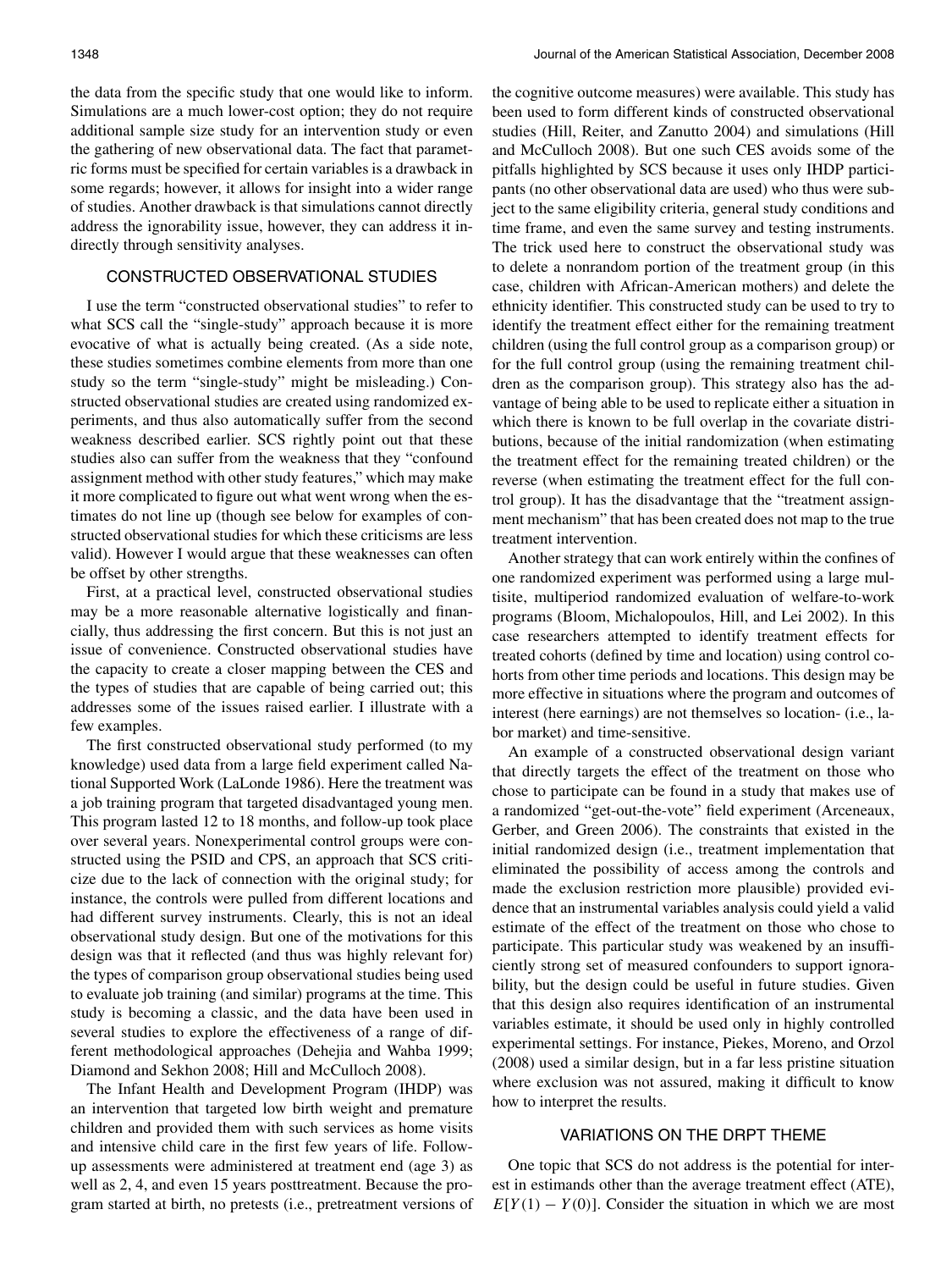the data from the specific study that one would like to inform. Simulations are a much lower-cost option; they do not require additional sample size study for an intervention study or even the gathering of new observational data. The fact that parametric forms must be specified for certain variables is a drawback in some regards; however, it allows for insight into a wider range of studies. Another drawback is that simulations cannot directly address the ignorability issue, however, they can address it indirectly through sensitivity analyses.

## CONSTRUCTED OBSERVATIONAL STUDIES

I use the term "constructed observational studies" to refer to what SCS call the "single-study" approach because it is more evocative of what is actually being created. (As a side note, these studies sometimes combine elements from more than one study so the term "single-study" might be misleading.) Constructed observational studies are created using randomized experiments, and thus also automatically suffer from the second weakness described earlier. SCS rightly point out that these studies also can suffer from the weakness that they "confound assignment method with other study features," which may make it more complicated to figure out what went wrong when the estimates do not line up (though see below for examples of constructed observational studies for which these criticisms are less valid). However I would argue that these weaknesses can often be offset by other strengths.

First, at a practical level, constructed observational studies may be a more reasonable alternative logistically and financially, thus addressing the first concern. But this is not just an issue of convenience. Constructed observational studies have the capacity to create a closer mapping between the CES and the types of studies that are capable of being carried out; this addresses some of the issues raised earlier. I illustrate with a few examples.

The first constructed observational study performed (to my knowledge) used data from a large field experiment called National Supported Work (LaLonde 1986). Here the treatment was a job training program that targeted disadvantaged young men. This program lasted 12 to 18 months, and follow-up took place over several years. Nonexperimental control groups were constructed using the PSID and CPS, an approach that SCS criticize due to the lack of connection with the original study; for instance, the controls were pulled from different locations and had different survey instruments. Clearly, this is not an ideal observational study design. But one of the motivations for this design was that it reflected (and thus was highly relevant for) the types of comparison group observational studies being used to evaluate job training (and similar) programs at the time. This study is becoming a classic, and the data have been used in several studies to explore the effectiveness of a range of different methodological approaches (Dehejia and Wahba 1999; Diamond and Sekhon 2008; Hill and McCulloch 2008).

The Infant Health and Development Program (IHDP) was an intervention that targeted low birth weight and premature children and provided them with such services as home visits and intensive child care in the first few years of life. Followup assessments were administered at treatment end (age 3) as well as 2, 4, and even 15 years posttreatment. Because the program started at birth, no pretests (i.e., pretreatment versions of the cognitive outcome measures) were available. This study has been used to form different kinds of constructed observational studies (Hill, Reiter, and Zanutto 2004) and simulations (Hill and McCulloch 2008). But one such CES avoids some of the pitfalls highlighted by SCS because it uses only IHDP participants (no other observational data are used) who thus were subject to the same eligibility criteria, general study conditions and time frame, and even the same survey and testing instruments. The trick used here to construct the observational study was to delete a nonrandom portion of the treatment group (in this case, children with African-American mothers) and delete the ethnicity identifier. This constructed study can be used to try to identify the treatment effect either for the remaining treatment children (using the full control group as a comparison group) or for the full control group (using the remaining treatment children as the comparison group). This strategy also has the advantage of being able to be used to replicate either a situation in which there is known to be full overlap in the covariate distributions, because of the initial randomization (when estimating the treatment effect for the remaining treated children) or the reverse (when estimating the treatment effect for the full control group). It has the disadvantage that the "treatment assignment mechanism" that has been created does not map to the true treatment intervention.

Another strategy that can work entirely within the confines of one randomized experiment was performed using a large multisite, multiperiod randomized evaluation of welfare-to-work programs (Bloom, Michalopoulos, Hill, and Lei 2002). In this case researchers attempted to identify treatment effects for treated cohorts (defined by time and location) using control cohorts from other time periods and locations. This design may be more effective in situations where the program and outcomes of interest (here earnings) are not themselves so location- (i.e., labor market) and time-sensitive.

An example of a constructed observational design variant that directly targets the effect of the treatment on those who chose to participate can be found in a study that makes use of a randomized "get-out-the-vote" field experiment (Arceneaux, Gerber, and Green 2006). The constraints that existed in the initial randomized design (i.e., treatment implementation that eliminated the possibility of access among the controls and made the exclusion restriction more plausible) provided evidence that an instrumental variables analysis could yield a valid estimate of the effect of the treatment on those who chose to participate. This particular study was weakened by an insufficiently strong set of measured confounders to support ignorability, but the design could be useful in future studies. Given that this design also requires identification of an instrumental variables estimate, it should be used only in highly controlled experimental settings. For instance, Piekes, Moreno, and Orzol (2008) used a similar design, but in a far less pristine situation where exclusion was not assured, making it difficult to know how to interpret the results.

## VARIATIONS ON THE DRPT THEME

One topic that SCS do not address is the potential for interest in estimands other than the average treatment effect (ATE),  $E[Y(1) - Y(0)]$ . Consider the situation in which we are most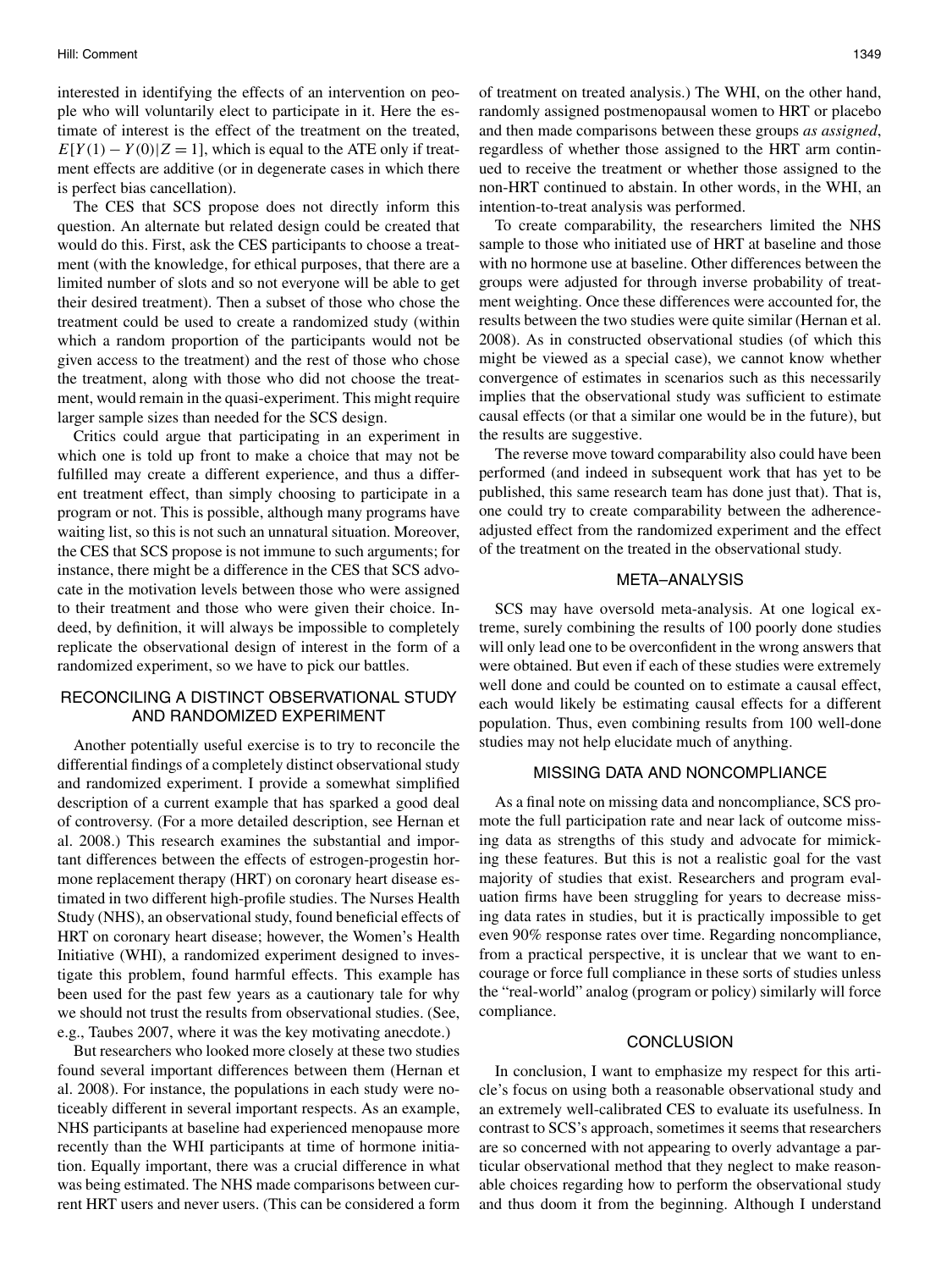interested in identifying the effects of an intervention on people who will voluntarily elect to participate in it. Here the estimate of interest is the effect of the treatment on the treated,  $E[Y(1) - Y(0)|Z = 1]$ , which is equal to the ATE only if treatment effects are additive (or in degenerate cases in which there is perfect bias cancellation).

The CES that SCS propose does not directly inform this question. An alternate but related design could be created that would do this. First, ask the CES participants to choose a treatment (with the knowledge, for ethical purposes, that there are a limited number of slots and so not everyone will be able to get their desired treatment). Then a subset of those who chose the treatment could be used to create a randomized study (within which a random proportion of the participants would not be given access to the treatment) and the rest of those who chose the treatment, along with those who did not choose the treatment, would remain in the quasi-experiment. This might require larger sample sizes than needed for the SCS design.

Critics could argue that participating in an experiment in which one is told up front to make a choice that may not be fulfilled may create a different experience, and thus a different treatment effect, than simply choosing to participate in a program or not. This is possible, although many programs have waiting list, so this is not such an unnatural situation. Moreover, the CES that SCS propose is not immune to such arguments; for instance, there might be a difference in the CES that SCS advocate in the motivation levels between those who were assigned to their treatment and those who were given their choice. Indeed, by definition, it will always be impossible to completely replicate the observational design of interest in the form of a randomized experiment, so we have to pick our battles.

## RECONCILING A DISTINCT OBSERVATIONAL STUDY AND RANDOMIZED EXPERIMENT

Another potentially useful exercise is to try to reconcile the differential findings of a completely distinct observational study and randomized experiment. I provide a somewhat simplified description of a current example that has sparked a good deal of controversy. (For a more detailed description, see Hernan et al. 2008.) This research examines the substantial and important differences between the effects of estrogen-progestin hormone replacement therapy (HRT) on coronary heart disease estimated in two different high-profile studies. The Nurses Health Study (NHS), an observational study, found beneficial effects of HRT on coronary heart disease; however, the Women's Health Initiative (WHI), a randomized experiment designed to investigate this problem, found harmful effects. This example has been used for the past few years as a cautionary tale for why we should not trust the results from observational studies. (See, e.g., Taubes 2007, where it was the key motivating anecdote.)

But researchers who looked more closely at these two studies found several important differences between them (Hernan et al. 2008). For instance, the populations in each study were noticeably different in several important respects. As an example, NHS participants at baseline had experienced menopause more recently than the WHI participants at time of hormone initiation. Equally important, there was a crucial difference in what was being estimated. The NHS made comparisons between current HRT users and never users. (This can be considered a form

of treatment on treated analysis.) The WHI, on the other hand, randomly assigned postmenopausal women to HRT or placebo and then made comparisons between these groups *as assigned*, regardless of whether those assigned to the HRT arm continued to receive the treatment or whether those assigned to the non-HRT continued to abstain. In other words, in the WHI, an intention-to-treat analysis was performed.

To create comparability, the researchers limited the NHS sample to those who initiated use of HRT at baseline and those with no hormone use at baseline. Other differences between the groups were adjusted for through inverse probability of treatment weighting. Once these differences were accounted for, the results between the two studies were quite similar (Hernan et al. 2008). As in constructed observational studies (of which this might be viewed as a special case), we cannot know whether convergence of estimates in scenarios such as this necessarily implies that the observational study was sufficient to estimate causal effects (or that a similar one would be in the future), but the results are suggestive.

The reverse move toward comparability also could have been performed (and indeed in subsequent work that has yet to be published, this same research team has done just that). That is, one could try to create comparability between the adherenceadjusted effect from the randomized experiment and the effect of the treatment on the treated in the observational study.

## META–ANALYSIS

SCS may have oversold meta-analysis. At one logical extreme, surely combining the results of 100 poorly done studies will only lead one to be overconfident in the wrong answers that were obtained. But even if each of these studies were extremely well done and could be counted on to estimate a causal effect, each would likely be estimating causal effects for a different population. Thus, even combining results from 100 well-done studies may not help elucidate much of anything.

#### MISSING DATA AND NONCOMPLIANCE

As a final note on missing data and noncompliance, SCS promote the full participation rate and near lack of outcome missing data as strengths of this study and advocate for mimicking these features. But this is not a realistic goal for the vast majority of studies that exist. Researchers and program evaluation firms have been struggling for years to decrease missing data rates in studies, but it is practically impossible to get even 90% response rates over time. Regarding noncompliance, from a practical perspective, it is unclear that we want to encourage or force full compliance in these sorts of studies unless the "real-world" analog (program or policy) similarly will force compliance.

#### **CONCLUSION**

In conclusion, I want to emphasize my respect for this article's focus on using both a reasonable observational study and an extremely well-calibrated CES to evaluate its usefulness. In contrast to SCS's approach, sometimes it seems that researchers are so concerned with not appearing to overly advantage a particular observational method that they neglect to make reasonable choices regarding how to perform the observational study and thus doom it from the beginning. Although I understand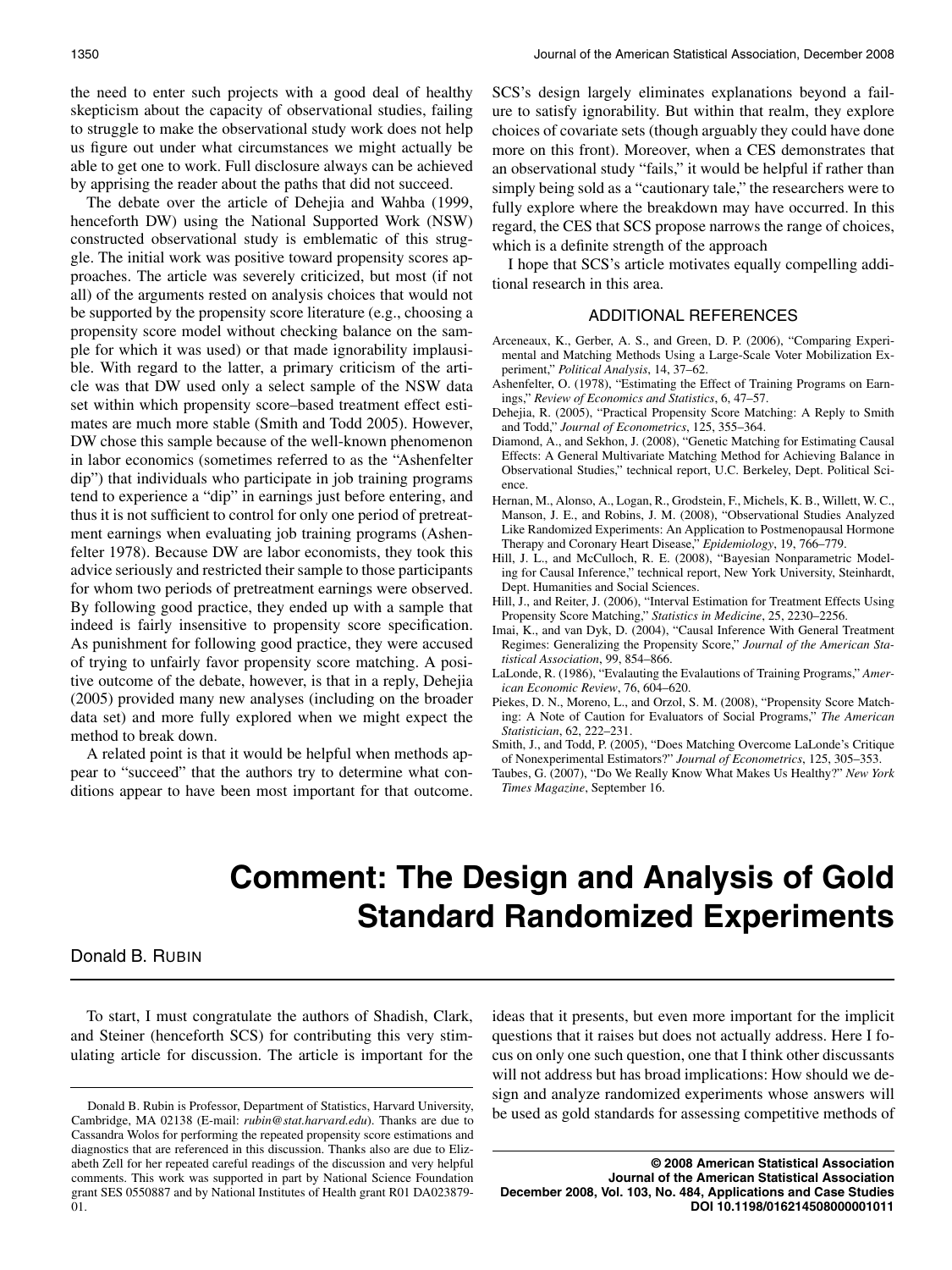the need to enter such projects with a good deal of healthy skepticism about the capacity of observational studies, failing to struggle to make the observational study work does not help us figure out under what circumstances we might actually be able to get one to work. Full disclosure always can be achieved by apprising the reader about the paths that did not succeed.

The debate over the article of Dehejia and Wahba (1999, henceforth DW) using the National Supported Work (NSW) constructed observational study is emblematic of this struggle. The initial work was positive toward propensity scores approaches. The article was severely criticized, but most (if not all) of the arguments rested on analysis choices that would not be supported by the propensity score literature (e.g., choosing a propensity score model without checking balance on the sample for which it was used) or that made ignorability implausible. With regard to the latter, a primary criticism of the article was that DW used only a select sample of the NSW data set within which propensity score–based treatment effect estimates are much more stable (Smith and Todd 2005). However, DW chose this sample because of the well-known phenomenon in labor economics (sometimes referred to as the "Ashenfelter dip") that individuals who participate in job training programs tend to experience a "dip" in earnings just before entering, and thus it is not sufficient to control for only one period of pretreatment earnings when evaluating job training programs (Ashenfelter 1978). Because DW are labor economists, they took this advice seriously and restricted their sample to those participants for whom two periods of pretreatment earnings were observed. By following good practice, they ended up with a sample that indeed is fairly insensitive to propensity score specification. As punishment for following good practice, they were accused of trying to unfairly favor propensity score matching. A positive outcome of the debate, however, is that in a reply, Dehejia (2005) provided many new analyses (including on the broader data set) and more fully explored when we might expect the method to break down.

A related point is that it would be helpful when methods appear to "succeed" that the authors try to determine what conditions appear to have been most important for that outcome. SCS's design largely eliminates explanations beyond a failure to satisfy ignorability. But within that realm, they explore choices of covariate sets (though arguably they could have done more on this front). Moreover, when a CES demonstrates that an observational study "fails," it would be helpful if rather than simply being sold as a "cautionary tale," the researchers were to fully explore where the breakdown may have occurred. In this regard, the CES that SCS propose narrows the range of choices, which is a definite strength of the approach

I hope that SCS's article motivates equally compelling additional research in this area.

#### ADDITIONAL REFERENCES

- Arceneaux, K., Gerber, A. S., and Green, D. P. (2006), "Comparing Experimental and Matching Methods Using a Large-Scale Voter Mobilization Experiment," *Political Analysis*, 14, 37–62.
- Ashenfelter, O. (1978), "Estimating the Effect of Training Programs on Earnings," *Review of Economics and Statistics*, 6, 47–57.
- Dehejia, R. (2005), "Practical Propensity Score Matching: A Reply to Smith and Todd," *Journal of Econometrics*, 125, 355–364.
- Diamond, A., and Sekhon, J. (2008), "Genetic Matching for Estimating Causal Effects: A General Multivariate Matching Method for Achieving Balance in Observational Studies," technical report, U.C. Berkeley, Dept. Political Science.
- Hernan, M., Alonso, A., Logan, R., Grodstein, F., Michels, K. B., Willett, W. C., Manson, J. E., and Robins, J. M. (2008), "Observational Studies Analyzed Like Randomized Experiments: An Application to Postmenopausal Hormone Therapy and Coronary Heart Disease," *Epidemiology*, 19, 766–779.
- Hill, J. L., and McCulloch, R. E. (2008), "Bayesian Nonparametric Modeling for Causal Inference," technical report, New York University, Steinhardt, Dept. Humanities and Social Sciences.
- Hill, J., and Reiter, J. (2006), "Interval Estimation for Treatment Effects Using Propensity Score Matching," *Statistics in Medicine*, 25, 2230–2256.
- Imai, K., and van Dyk, D. (2004), "Causal Inference With General Treatment Regimes: Generalizing the Propensity Score," *Journal of the American Statistical Association*, 99, 854–866.
- LaLonde, R. (1986), "Evalauting the Evalautions of Training Programs," *American Economic Review*, 76, 604–620.
- Piekes, D. N., Moreno, L., and Orzol, S. M. (2008), "Propensity Score Matching: A Note of Caution for Evaluators of Social Programs," *The American Statistician*, 62, 222–231.
- Smith, J., and Todd, P. (2005), "Does Matching Overcome LaLonde's Critique of Nonexperimental Estimators?" *Journal of Econometrics*, 125, 305–353.
- Taubes, G. (2007), "Do We Really Know What Makes Us Healthy?" *New York Times Magazine*, September 16.

## **Comment: The Design and Analysis of Gold Standard Randomized Experiments**

Donald B. RUBIN

To start, I must congratulate the authors of Shadish, Clark, and Steiner (henceforth SCS) for contributing this very stimulating article for discussion. The article is important for the

ideas that it presents, but even more important for the implicit questions that it raises but does not actually address. Here I focus on only one such question, one that I think other discussants will not address but has broad implications: How should we design and analyze randomized experiments whose answers will be used as gold standards for assessing competitive methods of

Donald B. Rubin is Professor, Department of Statistics, Harvard University, Cambridge, MA 02138 (E-mail: *rubin@stat.harvard.edu*). Thanks are due to Cassandra Wolos for performing the repeated propensity score estimations and diagnostics that are referenced in this discussion. Thanks also are due to Elizabeth Zell for her repeated careful readings of the discussion and very helpful comments. This work was supported in part by National Science Foundation grant SES 0550887 and by National Institutes of Health grant R01 DA023879-  $01$ .

**<sup>© 2008</sup> American Statistical Association Journal of the American Statistical Association December 2008, Vol. 103, No. 484, Applications and Case Studies DOI 10.1198/016214508000001011**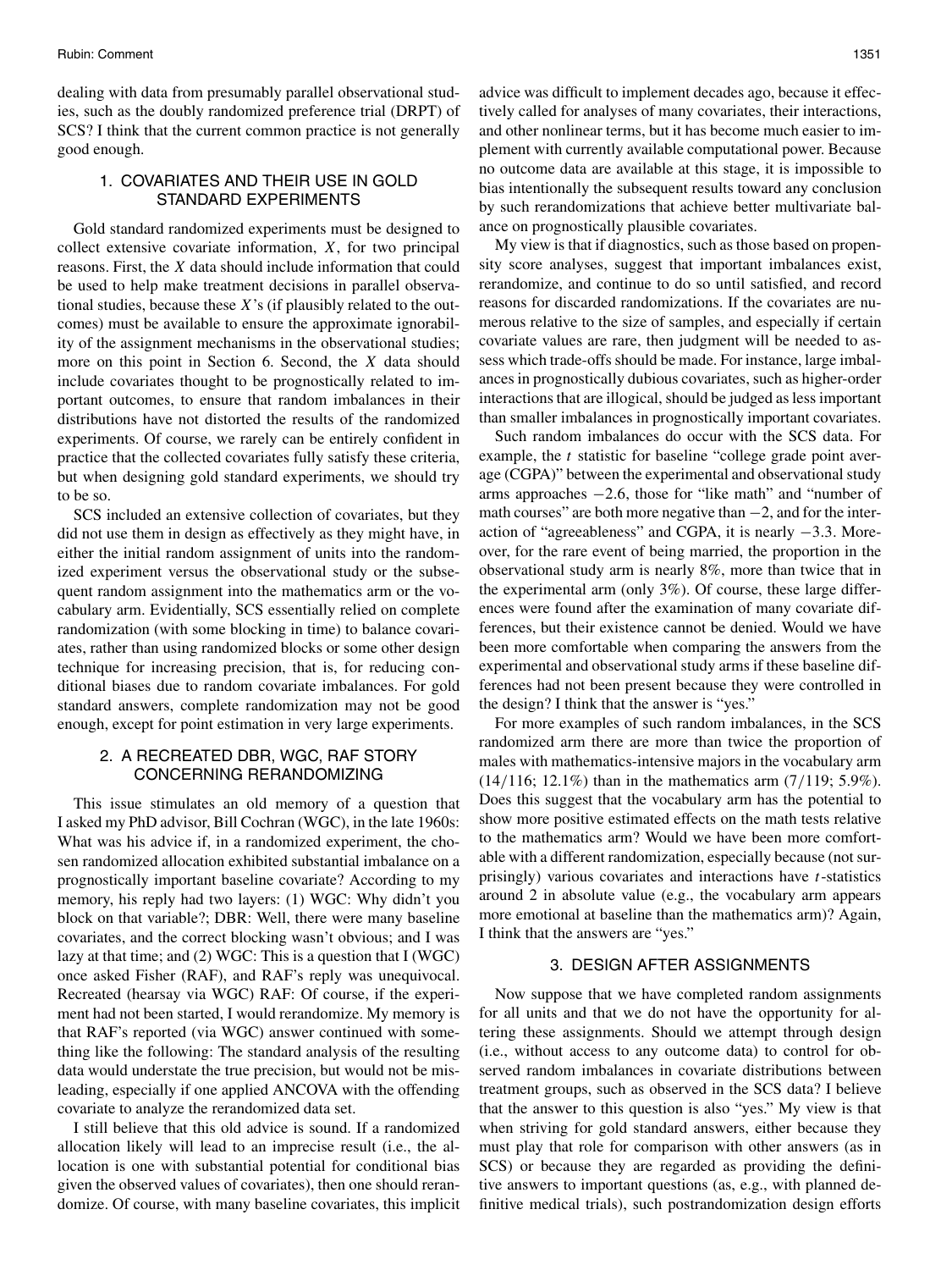dealing with data from presumably parallel observational studies, such as the doubly randomized preference trial (DRPT) of SCS? I think that the current common practice is not generally good enough.

## 1. COVARIATES AND THEIR USE IN GOLD STANDARD EXPERIMENTS

Gold standard randomized experiments must be designed to collect extensive covariate information, *X*, for two principal reasons. First, the *X* data should include information that could be used to help make treatment decisions in parallel observational studies, because these *X*'s (if plausibly related to the outcomes) must be available to ensure the approximate ignorability of the assignment mechanisms in the observational studies; more on this point in Section 6. Second, the *X* data should include covariates thought to be prognostically related to important outcomes, to ensure that random imbalances in their distributions have not distorted the results of the randomized experiments. Of course, we rarely can be entirely confident in practice that the collected covariates fully satisfy these criteria, but when designing gold standard experiments, we should try to be so.

SCS included an extensive collection of covariates, but they did not use them in design as effectively as they might have, in either the initial random assignment of units into the randomized experiment versus the observational study or the subsequent random assignment into the mathematics arm or the vocabulary arm. Evidentially, SCS essentially relied on complete randomization (with some blocking in time) to balance covariates, rather than using randomized blocks or some other design technique for increasing precision, that is, for reducing conditional biases due to random covariate imbalances. For gold standard answers, complete randomization may not be good enough, except for point estimation in very large experiments.

## 2. A RECREATED DBR, WGC, RAF STORY CONCERNING RERANDOMIZING

This issue stimulates an old memory of a question that I asked my PhD advisor, Bill Cochran (WGC), in the late 1960s: What was his advice if, in a randomized experiment, the chosen randomized allocation exhibited substantial imbalance on a prognostically important baseline covariate? According to my memory, his reply had two layers: (1) WGC: Why didn't you block on that variable?; DBR: Well, there were many baseline covariates, and the correct blocking wasn't obvious; and I was lazy at that time; and (2) WGC: This is a question that I (WGC) once asked Fisher (RAF), and RAF's reply was unequivocal. Recreated (hearsay via WGC) RAF: Of course, if the experiment had not been started, I would rerandomize. My memory is that RAF's reported (via WGC) answer continued with something like the following: The standard analysis of the resulting data would understate the true precision, but would not be misleading, especially if one applied ANCOVA with the offending covariate to analyze the rerandomized data set.

I still believe that this old advice is sound. If a randomized allocation likely will lead to an imprecise result (i.e., the allocation is one with substantial potential for conditional bias given the observed values of covariates), then one should rerandomize. Of course, with many baseline covariates, this implicit advice was difficult to implement decades ago, because it effectively called for analyses of many covariates, their interactions, and other nonlinear terms, but it has become much easier to implement with currently available computational power. Because no outcome data are available at this stage, it is impossible to bias intentionally the subsequent results toward any conclusion by such rerandomizations that achieve better multivariate balance on prognostically plausible covariates.

My view is that if diagnostics, such as those based on propensity score analyses, suggest that important imbalances exist, rerandomize, and continue to do so until satisfied, and record reasons for discarded randomizations. If the covariates are numerous relative to the size of samples, and especially if certain covariate values are rare, then judgment will be needed to assess which trade-offs should be made. For instance, large imbalances in prognostically dubious covariates, such as higher-order interactions that are illogical, should be judged as less important than smaller imbalances in prognostically important covariates.

Such random imbalances do occur with the SCS data. For example, the *t* statistic for baseline "college grade point average (CGPA)" between the experimental and observational study arms approaches −2*.*6, those for "like math" and "number of math courses" are both more negative than  $-2$ , and for the interaction of "agreeableness" and CGPA, it is nearly −3*.*3. Moreover, for the rare event of being married, the proportion in the observational study arm is nearly 8%, more than twice that in the experimental arm (only 3%). Of course, these large differences were found after the examination of many covariate differences, but their existence cannot be denied. Would we have been more comfortable when comparing the answers from the experimental and observational study arms if these baseline differences had not been present because they were controlled in the design? I think that the answer is "yes."

For more examples of such random imbalances, in the SCS randomized arm there are more than twice the proportion of males with mathematics-intensive majors in the vocabulary arm (14*/*116; 12.1%) than in the mathematics arm (7*/*119; 5.9%). Does this suggest that the vocabulary arm has the potential to show more positive estimated effects on the math tests relative to the mathematics arm? Would we have been more comfortable with a different randomization, especially because (not surprisingly) various covariates and interactions have *t*-statistics around 2 in absolute value (e.g., the vocabulary arm appears more emotional at baseline than the mathematics arm)? Again, I think that the answers are "yes."

#### 3. DESIGN AFTER ASSIGNMENTS

Now suppose that we have completed random assignments for all units and that we do not have the opportunity for altering these assignments. Should we attempt through design (i.e., without access to any outcome data) to control for observed random imbalances in covariate distributions between treatment groups, such as observed in the SCS data? I believe that the answer to this question is also "yes." My view is that when striving for gold standard answers, either because they must play that role for comparison with other answers (as in SCS) or because they are regarded as providing the definitive answers to important questions (as, e.g., with planned definitive medical trials), such postrandomization design efforts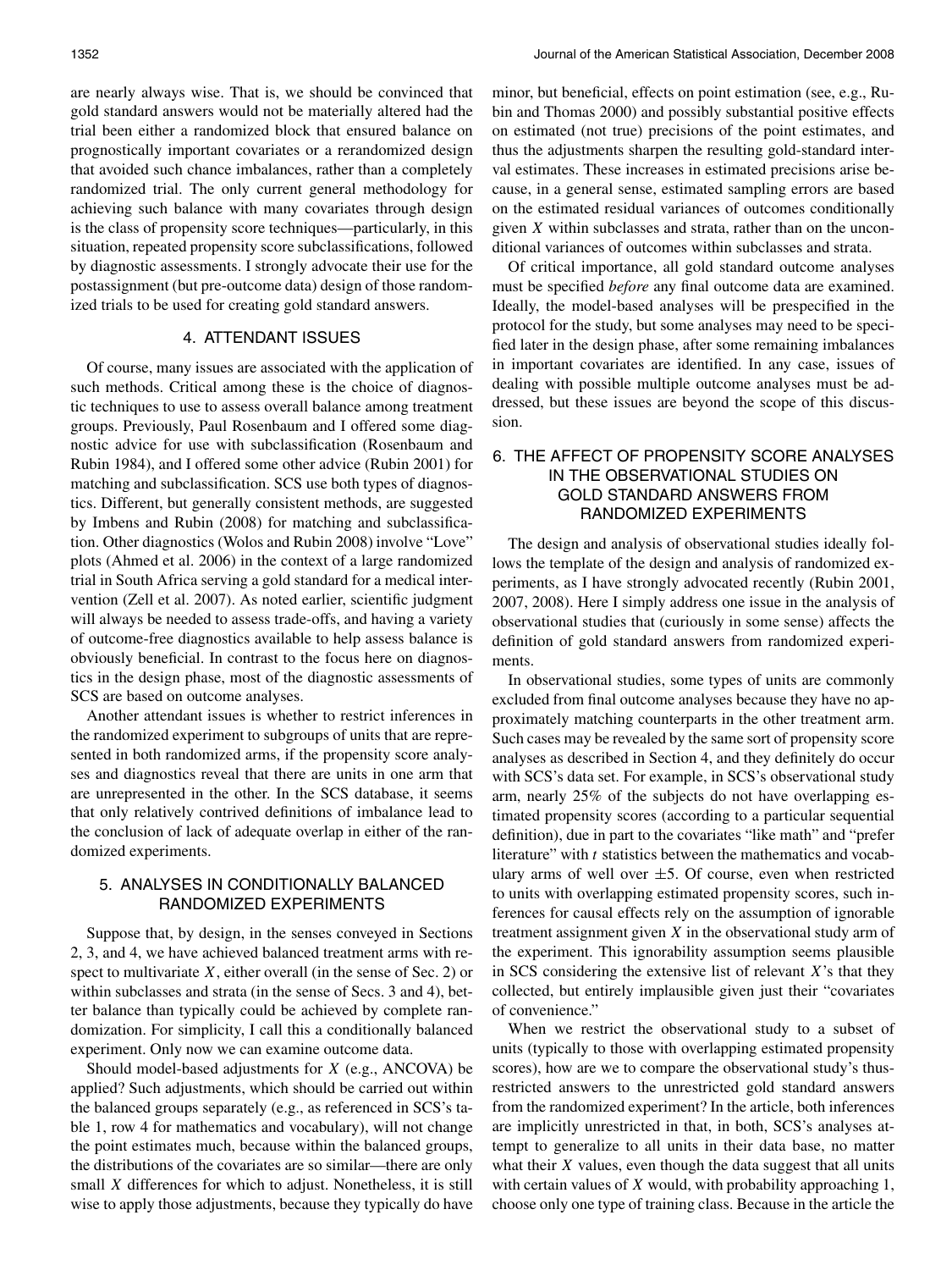are nearly always wise. That is, we should be convinced that gold standard answers would not be materially altered had the trial been either a randomized block that ensured balance on prognostically important covariates or a rerandomized design that avoided such chance imbalances, rather than a completely randomized trial. The only current general methodology for achieving such balance with many covariates through design is the class of propensity score techniques—particularly, in this situation, repeated propensity score subclassifications, followed by diagnostic assessments. I strongly advocate their use for the postassignment (but pre-outcome data) design of those randomized trials to be used for creating gold standard answers.

#### 4. ATTENDANT ISSUES

Of course, many issues are associated with the application of such methods. Critical among these is the choice of diagnostic techniques to use to assess overall balance among treatment groups. Previously, Paul Rosenbaum and I offered some diagnostic advice for use with subclassification (Rosenbaum and Rubin 1984), and I offered some other advice (Rubin 2001) for matching and subclassification. SCS use both types of diagnostics. Different, but generally consistent methods, are suggested by Imbens and Rubin (2008) for matching and subclassification. Other diagnostics (Wolos and Rubin 2008) involve "Love" plots (Ahmed et al. 2006) in the context of a large randomized trial in South Africa serving a gold standard for a medical intervention (Zell et al. 2007). As noted earlier, scientific judgment will always be needed to assess trade-offs, and having a variety of outcome-free diagnostics available to help assess balance is obviously beneficial. In contrast to the focus here on diagnostics in the design phase, most of the diagnostic assessments of SCS are based on outcome analyses.

Another attendant issues is whether to restrict inferences in the randomized experiment to subgroups of units that are represented in both randomized arms, if the propensity score analyses and diagnostics reveal that there are units in one arm that are unrepresented in the other. In the SCS database, it seems that only relatively contrived definitions of imbalance lead to the conclusion of lack of adequate overlap in either of the randomized experiments.

## 5. ANALYSES IN CONDITIONALLY BALANCED RANDOMIZED EXPERIMENTS

Suppose that, by design, in the senses conveyed in Sections 2, 3, and 4, we have achieved balanced treatment arms with respect to multivariate *X*, either overall (in the sense of Sec. 2) or within subclasses and strata (in the sense of Secs. 3 and 4), better balance than typically could be achieved by complete randomization. For simplicity, I call this a conditionally balanced experiment. Only now we can examine outcome data.

Should model-based adjustments for *X* (e.g., ANCOVA) be applied? Such adjustments, which should be carried out within the balanced groups separately (e.g., as referenced in SCS's table 1, row 4 for mathematics and vocabulary), will not change the point estimates much, because within the balanced groups, the distributions of the covariates are so similar—there are only small *X* differences for which to adjust. Nonetheless, it is still wise to apply those adjustments, because they typically do have

minor, but beneficial, effects on point estimation (see, e.g., Rubin and Thomas 2000) and possibly substantial positive effects on estimated (not true) precisions of the point estimates, and thus the adjustments sharpen the resulting gold-standard interval estimates. These increases in estimated precisions arise because, in a general sense, estimated sampling errors are based on the estimated residual variances of outcomes conditionally given *X* within subclasses and strata, rather than on the unconditional variances of outcomes within subclasses and strata.

Of critical importance, all gold standard outcome analyses must be specified *before* any final outcome data are examined. Ideally, the model-based analyses will be prespecified in the protocol for the study, but some analyses may need to be specified later in the design phase, after some remaining imbalances in important covariates are identified. In any case, issues of dealing with possible multiple outcome analyses must be addressed, but these issues are beyond the scope of this discussion.

## 6. THE AFFECT OF PROPENSITY SCORE ANALYSES IN THE OBSERVATIONAL STUDIES ON GOLD STANDARD ANSWERS FROM RANDOMIZED EXPERIMENTS

The design and analysis of observational studies ideally follows the template of the design and analysis of randomized experiments, as I have strongly advocated recently (Rubin 2001, 2007, 2008). Here I simply address one issue in the analysis of observational studies that (curiously in some sense) affects the definition of gold standard answers from randomized experiments.

In observational studies, some types of units are commonly excluded from final outcome analyses because they have no approximately matching counterparts in the other treatment arm. Such cases may be revealed by the same sort of propensity score analyses as described in Section 4, and they definitely do occur with SCS's data set. For example, in SCS's observational study arm, nearly 25% of the subjects do not have overlapping estimated propensity scores (according to a particular sequential definition), due in part to the covariates "like math" and "prefer literature" with *t* statistics between the mathematics and vocabulary arms of well over  $\pm 5$ . Of course, even when restricted to units with overlapping estimated propensity scores, such inferences for causal effects rely on the assumption of ignorable treatment assignment given *X* in the observational study arm of the experiment. This ignorability assumption seems plausible in SCS considering the extensive list of relevant *X*'s that they collected, but entirely implausible given just their "covariates of convenience."

When we restrict the observational study to a subset of units (typically to those with overlapping estimated propensity scores), how are we to compare the observational study's thusrestricted answers to the unrestricted gold standard answers from the randomized experiment? In the article, both inferences are implicitly unrestricted in that, in both, SCS's analyses attempt to generalize to all units in their data base, no matter what their *X* values, even though the data suggest that all units with certain values of *X* would, with probability approaching 1, choose only one type of training class. Because in the article the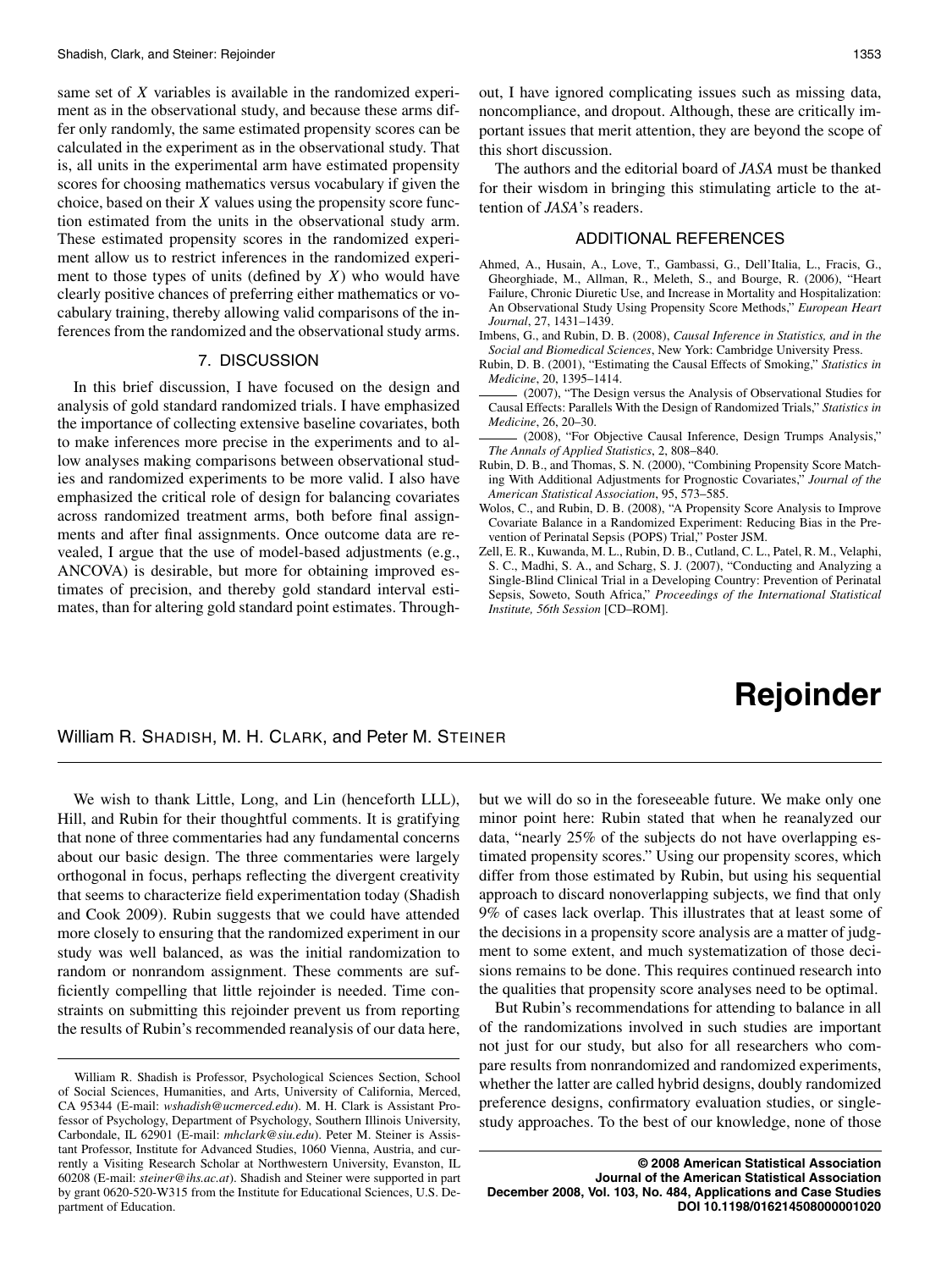same set of *X* variables is available in the randomized experiment as in the observational study, and because these arms differ only randomly, the same estimated propensity scores can be calculated in the experiment as in the observational study. That is, all units in the experimental arm have estimated propensity scores for choosing mathematics versus vocabulary if given the choice, based on their *X* values using the propensity score function estimated from the units in the observational study arm. These estimated propensity scores in the randomized experiment allow us to restrict inferences in the randomized experiment to those types of units (defined by *X*) who would have clearly positive chances of preferring either mathematics or vocabulary training, thereby allowing valid comparisons of the inferences from the randomized and the observational study arms.

## 7. DISCUSSION

In this brief discussion, I have focused on the design and analysis of gold standard randomized trials. I have emphasized the importance of collecting extensive baseline covariates, both to make inferences more precise in the experiments and to allow analyses making comparisons between observational studies and randomized experiments to be more valid. I also have emphasized the critical role of design for balancing covariates across randomized treatment arms, both before final assignments and after final assignments. Once outcome data are revealed, I argue that the use of model-based adjustments (e.g., ANCOVA) is desirable, but more for obtaining improved estimates of precision, and thereby gold standard interval estimates, than for altering gold standard point estimates. Throughout, I have ignored complicating issues such as missing data, noncompliance, and dropout. Although, these are critically important issues that merit attention, they are beyond the scope of this short discussion.

The authors and the editorial board of *JASA* must be thanked for their wisdom in bringing this stimulating article to the attention of *JASA*'s readers.

### ADDITIONAL REFERENCES

- Ahmed, A., Husain, A., Love, T., Gambassi, G., Dell'Italia, L., Fracis, G., Gheorghiade, M., Allman, R., Meleth, S., and Bourge, R. (2006), "Heart Failure, Chronic Diuretic Use, and Increase in Mortality and Hospitalization: An Observational Study Using Propensity Score Methods," *European Heart Journal*, 27, 1431–1439.
- Imbens, G., and Rubin, D. B. (2008), *Causal Inference in Statistics, and in the Social and Biomedical Sciences*, New York: Cambridge University Press.
- Rubin, D. B. (2001), "Estimating the Causal Effects of Smoking," *Statistics in Medicine*, 20, 1395–1414.
- (2007), "The Design versus the Analysis of Observational Studies for Causal Effects: Parallels With the Design of Randomized Trials," *Statistics in Medicine*, 26, 20–30.
- (2008), "For Objective Causal Inference, Design Trumps Analysis," *The Annals of Applied Statistics*, 2, 808–840.
- Rubin, D. B., and Thomas, S. N. (2000), "Combining Propensity Score Matching With Additional Adjustments for Prognostic Covariates," *Journal of the American Statistical Association*, 95, 573–585.
- Wolos, C., and Rubin, D. B. (2008), "A Propensity Score Analysis to Improve Covariate Balance in a Randomized Experiment: Reducing Bias in the Prevention of Perinatal Sepsis (POPS) Trial," Poster JSM.
- Zell, E. R., Kuwanda, M. L., Rubin, D. B., Cutland, C. L., Patel, R. M., Velaphi, S. C., Madhi, S. A., and Scharg, S. J. (2007), "Conducting and Analyzing a Single-Blind Clinical Trial in a Developing Country: Prevention of Perinatal Sepsis, Soweto, South Africa," *Proceedings of the International Statistical Institute, 56th Session* [CD–ROM].

# **Rejoinder**

## William R. SHADISH, M. H. CLARK, and Peter M. STEINER

We wish to thank Little, Long, and Lin (henceforth LLL), Hill, and Rubin for their thoughtful comments. It is gratifying that none of three commentaries had any fundamental concerns about our basic design. The three commentaries were largely orthogonal in focus, perhaps reflecting the divergent creativity that seems to characterize field experimentation today (Shadish and Cook 2009). Rubin suggests that we could have attended more closely to ensuring that the randomized experiment in our study was well balanced, as was the initial randomization to random or nonrandom assignment. These comments are sufficiently compelling that little rejoinder is needed. Time constraints on submitting this rejoinder prevent us from reporting the results of Rubin's recommended reanalysis of our data here,

but we will do so in the foreseeable future. We make only one minor point here: Rubin stated that when he reanalyzed our data, "nearly 25% of the subjects do not have overlapping estimated propensity scores." Using our propensity scores, which differ from those estimated by Rubin, but using his sequential approach to discard nonoverlapping subjects, we find that only 9% of cases lack overlap. This illustrates that at least some of the decisions in a propensity score analysis are a matter of judgment to some extent, and much systematization of those decisions remains to be done. This requires continued research into the qualities that propensity score analyses need to be optimal.

But Rubin's recommendations for attending to balance in all of the randomizations involved in such studies are important not just for our study, but also for all researchers who compare results from nonrandomized and randomized experiments, whether the latter are called hybrid designs, doubly randomized preference designs, confirmatory evaluation studies, or singlestudy approaches. To the best of our knowledge, none of those

**© 2008 American Statistical Association Journal of the American Statistical Association December 2008, Vol. 103, No. 484, Applications and Case Studies DOI 10.1198/016214508000001020**

William R. Shadish is Professor, Psychological Sciences Section, School of Social Sciences, Humanities, and Arts, University of California, Merced, CA 95344 (E-mail: *wshadish@ucmerced.edu*). M. H. Clark is Assistant Professor of Psychology, Department of Psychology, Southern Illinois University, Carbondale, IL 62901 (E-mail: *mhclark@siu.edu*). Peter M. Steiner is Assistant Professor, Institute for Advanced Studies, 1060 Vienna, Austria, and currently a Visiting Research Scholar at Northwestern University, Evanston, IL 60208 (E-mail: *steiner@ihs.ac.at*). Shadish and Steiner were supported in part by grant 0620-520-W315 from the Institute for Educational Sciences, U.S. Department of Education.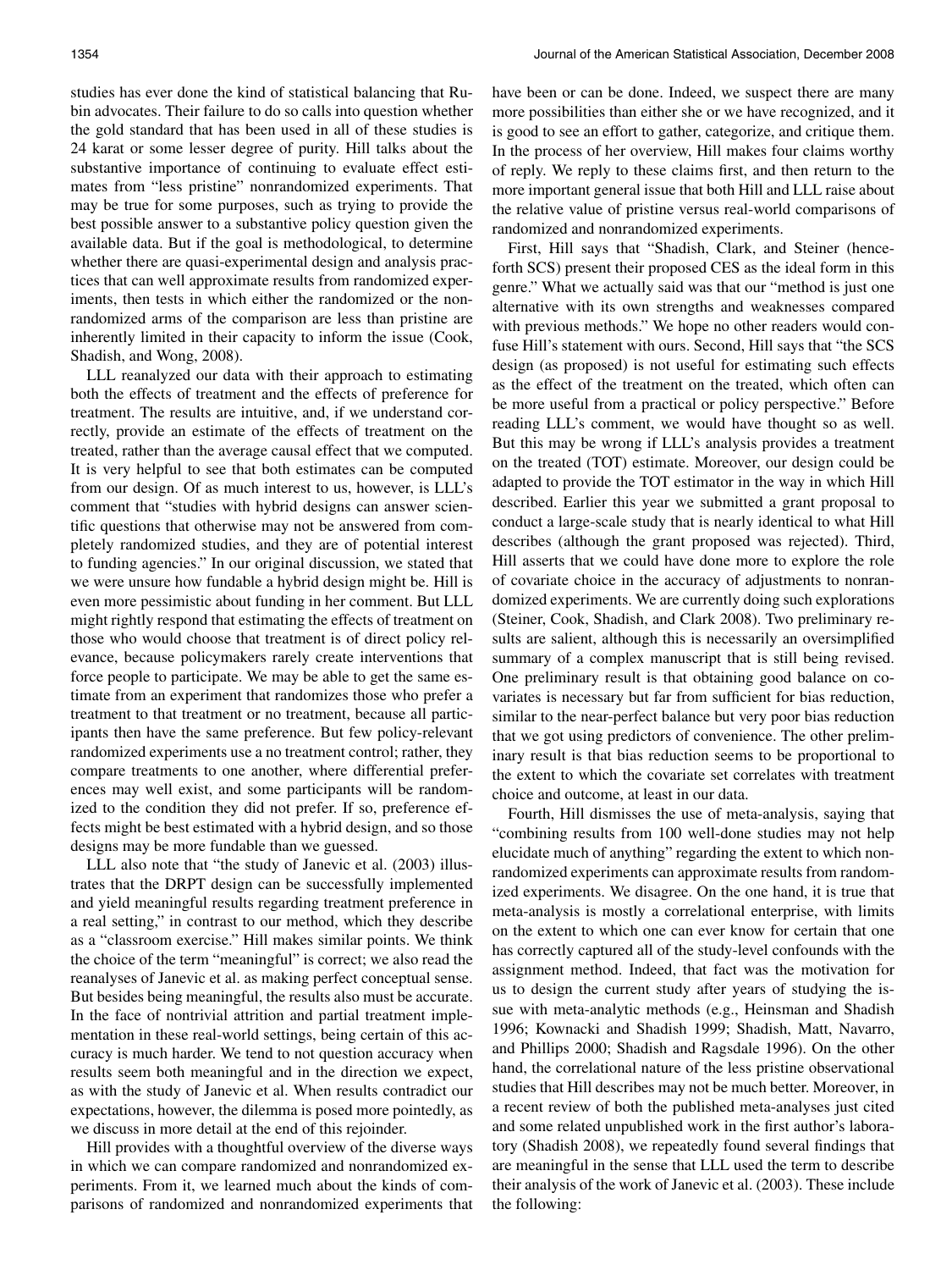studies has ever done the kind of statistical balancing that Rubin advocates. Their failure to do so calls into question whether the gold standard that has been used in all of these studies is 24 karat or some lesser degree of purity. Hill talks about the substantive importance of continuing to evaluate effect estimates from "less pristine" nonrandomized experiments. That may be true for some purposes, such as trying to provide the best possible answer to a substantive policy question given the available data. But if the goal is methodological, to determine whether there are quasi-experimental design and analysis practices that can well approximate results from randomized experiments, then tests in which either the randomized or the nonrandomized arms of the comparison are less than pristine are

inherently limited in their capacity to inform the issue (Cook,

Shadish, and Wong, 2008). LLL reanalyzed our data with their approach to estimating both the effects of treatment and the effects of preference for treatment. The results are intuitive, and, if we understand correctly, provide an estimate of the effects of treatment on the treated, rather than the average causal effect that we computed. It is very helpful to see that both estimates can be computed from our design. Of as much interest to us, however, is LLL's comment that "studies with hybrid designs can answer scientific questions that otherwise may not be answered from completely randomized studies, and they are of potential interest to funding agencies." In our original discussion, we stated that we were unsure how fundable a hybrid design might be. Hill is even more pessimistic about funding in her comment. But LLL might rightly respond that estimating the effects of treatment on those who would choose that treatment is of direct policy relevance, because policymakers rarely create interventions that force people to participate. We may be able to get the same estimate from an experiment that randomizes those who prefer a treatment to that treatment or no treatment, because all participants then have the same preference. But few policy-relevant randomized experiments use a no treatment control; rather, they compare treatments to one another, where differential preferences may well exist, and some participants will be randomized to the condition they did not prefer. If so, preference effects might be best estimated with a hybrid design, and so those designs may be more fundable than we guessed.

LLL also note that "the study of Janevic et al. (2003) illustrates that the DRPT design can be successfully implemented and yield meaningful results regarding treatment preference in a real setting," in contrast to our method, which they describe as a "classroom exercise." Hill makes similar points. We think the choice of the term "meaningful" is correct; we also read the reanalyses of Janevic et al. as making perfect conceptual sense. But besides being meaningful, the results also must be accurate. In the face of nontrivial attrition and partial treatment implementation in these real-world settings, being certain of this accuracy is much harder. We tend to not question accuracy when results seem both meaningful and in the direction we expect, as with the study of Janevic et al. When results contradict our expectations, however, the dilemma is posed more pointedly, as we discuss in more detail at the end of this rejoinder.

Hill provides with a thoughtful overview of the diverse ways in which we can compare randomized and nonrandomized experiments. From it, we learned much about the kinds of comparisons of randomized and nonrandomized experiments that have been or can be done. Indeed, we suspect there are many more possibilities than either she or we have recognized, and it is good to see an effort to gather, categorize, and critique them. In the process of her overview, Hill makes four claims worthy of reply. We reply to these claims first, and then return to the more important general issue that both Hill and LLL raise about the relative value of pristine versus real-world comparisons of randomized and nonrandomized experiments.

First, Hill says that "Shadish, Clark, and Steiner (henceforth SCS) present their proposed CES as the ideal form in this genre." What we actually said was that our "method is just one alternative with its own strengths and weaknesses compared with previous methods." We hope no other readers would confuse Hill's statement with ours. Second, Hill says that "the SCS design (as proposed) is not useful for estimating such effects as the effect of the treatment on the treated, which often can be more useful from a practical or policy perspective." Before reading LLL's comment, we would have thought so as well. But this may be wrong if LLL's analysis provides a treatment on the treated (TOT) estimate. Moreover, our design could be adapted to provide the TOT estimator in the way in which Hill described. Earlier this year we submitted a grant proposal to conduct a large-scale study that is nearly identical to what Hill describes (although the grant proposed was rejected). Third, Hill asserts that we could have done more to explore the role of covariate choice in the accuracy of adjustments to nonrandomized experiments. We are currently doing such explorations (Steiner, Cook, Shadish, and Clark 2008). Two preliminary results are salient, although this is necessarily an oversimplified summary of a complex manuscript that is still being revised. One preliminary result is that obtaining good balance on covariates is necessary but far from sufficient for bias reduction, similar to the near-perfect balance but very poor bias reduction that we got using predictors of convenience. The other preliminary result is that bias reduction seems to be proportional to the extent to which the covariate set correlates with treatment choice and outcome, at least in our data.

Fourth, Hill dismisses the use of meta-analysis, saying that "combining results from 100 well-done studies may not help elucidate much of anything" regarding the extent to which nonrandomized experiments can approximate results from randomized experiments. We disagree. On the one hand, it is true that meta-analysis is mostly a correlational enterprise, with limits on the extent to which one can ever know for certain that one has correctly captured all of the study-level confounds with the assignment method. Indeed, that fact was the motivation for us to design the current study after years of studying the issue with meta-analytic methods (e.g., Heinsman and Shadish 1996; Kownacki and Shadish 1999; Shadish, Matt, Navarro, and Phillips 2000; Shadish and Ragsdale 1996). On the other hand, the correlational nature of the less pristine observational studies that Hill describes may not be much better. Moreover, in a recent review of both the published meta-analyses just cited and some related unpublished work in the first author's laboratory (Shadish 2008), we repeatedly found several findings that are meaningful in the sense that LLL used the term to describe their analysis of the work of Janevic et al. (2003). These include the following: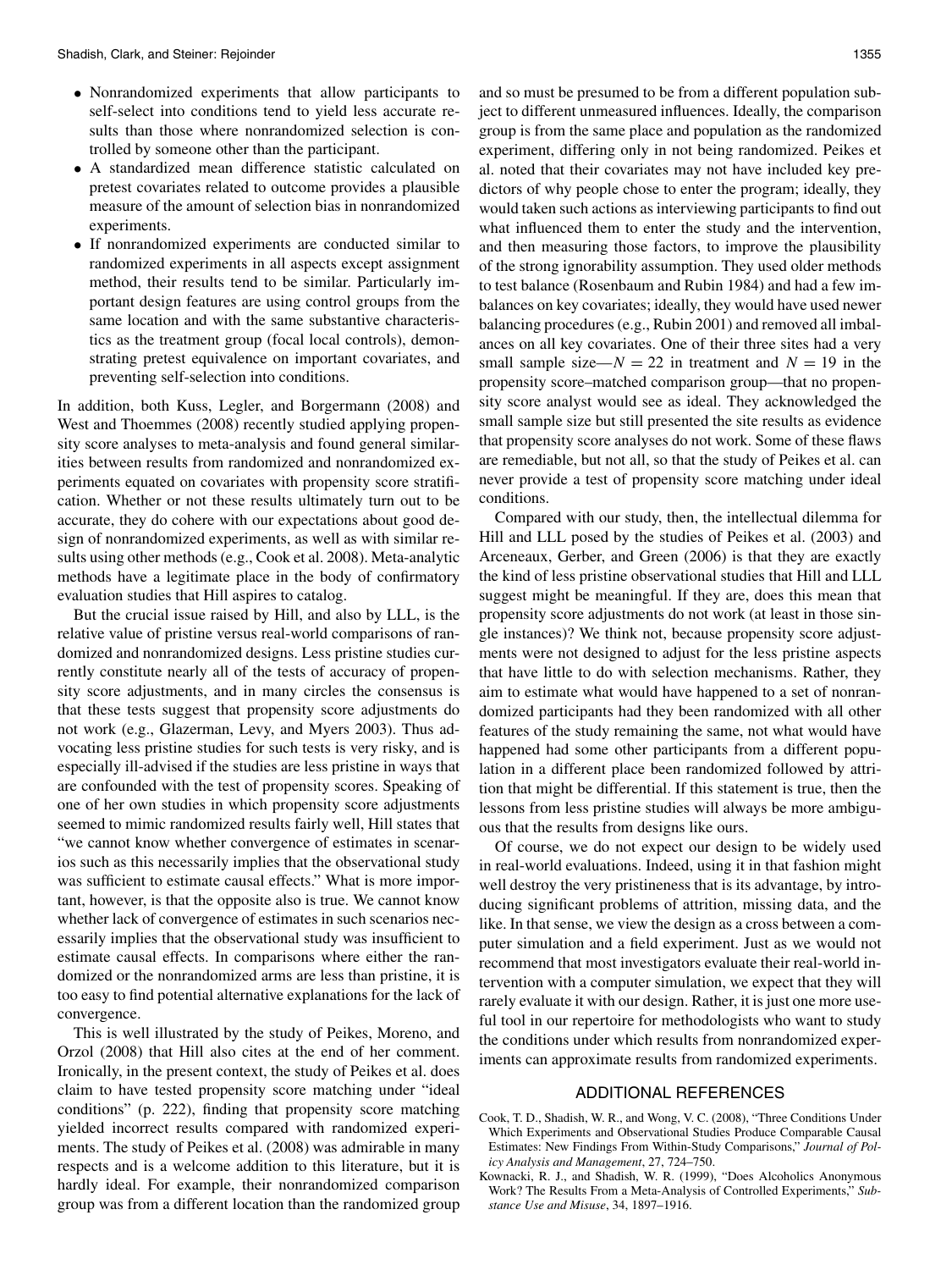- Nonrandomized experiments that allow participants to self-select into conditions tend to yield less accurate results than those where nonrandomized selection is controlled by someone other than the participant.
- A standardized mean difference statistic calculated on pretest covariates related to outcome provides a plausible measure of the amount of selection bias in nonrandomized experiments.
- If nonrandomized experiments are conducted similar to randomized experiments in all aspects except assignment method, their results tend to be similar. Particularly important design features are using control groups from the same location and with the same substantive characteristics as the treatment group (focal local controls), demonstrating pretest equivalence on important covariates, and preventing self-selection into conditions.

In addition, both Kuss, Legler, and Borgermann (2008) and West and Thoemmes (2008) recently studied applying propensity score analyses to meta-analysis and found general similarities between results from randomized and nonrandomized experiments equated on covariates with propensity score stratification. Whether or not these results ultimately turn out to be accurate, they do cohere with our expectations about good design of nonrandomized experiments, as well as with similar results using other methods (e.g., Cook et al. 2008). Meta-analytic methods have a legitimate place in the body of confirmatory evaluation studies that Hill aspires to catalog.

But the crucial issue raised by Hill, and also by LLL, is the relative value of pristine versus real-world comparisons of randomized and nonrandomized designs. Less pristine studies currently constitute nearly all of the tests of accuracy of propensity score adjustments, and in many circles the consensus is that these tests suggest that propensity score adjustments do not work (e.g., Glazerman, Levy, and Myers 2003). Thus advocating less pristine studies for such tests is very risky, and is especially ill-advised if the studies are less pristine in ways that are confounded with the test of propensity scores. Speaking of one of her own studies in which propensity score adjustments seemed to mimic randomized results fairly well, Hill states that "we cannot know whether convergence of estimates in scenarios such as this necessarily implies that the observational study was sufficient to estimate causal effects." What is more important, however, is that the opposite also is true. We cannot know whether lack of convergence of estimates in such scenarios necessarily implies that the observational study was insufficient to estimate causal effects. In comparisons where either the randomized or the nonrandomized arms are less than pristine, it is too easy to find potential alternative explanations for the lack of convergence.

This is well illustrated by the study of Peikes, Moreno, and Orzol (2008) that Hill also cites at the end of her comment. Ironically, in the present context, the study of Peikes et al. does claim to have tested propensity score matching under "ideal conditions" (p. 222), finding that propensity score matching yielded incorrect results compared with randomized experiments. The study of Peikes et al. (2008) was admirable in many respects and is a welcome addition to this literature, but it is hardly ideal. For example, their nonrandomized comparison group was from a different location than the randomized group and so must be presumed to be from a different population subject to different unmeasured influences. Ideally, the comparison group is from the same place and population as the randomized experiment, differing only in not being randomized. Peikes et al. noted that their covariates may not have included key predictors of why people chose to enter the program; ideally, they would taken such actions as interviewing participants to find out what influenced them to enter the study and the intervention, and then measuring those factors, to improve the plausibility of the strong ignorability assumption. They used older methods to test balance (Rosenbaum and Rubin 1984) and had a few imbalances on key covariates; ideally, they would have used newer balancing procedures (e.g., Rubin 2001) and removed all imbalances on all key covariates. One of their three sites had a very small sample size— $N = 22$  in treatment and  $N = 19$  in the propensity score–matched comparison group—that no propensity score analyst would see as ideal. They acknowledged the small sample size but still presented the site results as evidence that propensity score analyses do not work. Some of these flaws are remediable, but not all, so that the study of Peikes et al. can never provide a test of propensity score matching under ideal conditions.

Compared with our study, then, the intellectual dilemma for Hill and LLL posed by the studies of Peikes et al. (2003) and Arceneaux, Gerber, and Green (2006) is that they are exactly the kind of less pristine observational studies that Hill and LLL suggest might be meaningful. If they are, does this mean that propensity score adjustments do not work (at least in those single instances)? We think not, because propensity score adjustments were not designed to adjust for the less pristine aspects that have little to do with selection mechanisms. Rather, they aim to estimate what would have happened to a set of nonrandomized participants had they been randomized with all other features of the study remaining the same, not what would have happened had some other participants from a different population in a different place been randomized followed by attrition that might be differential. If this statement is true, then the lessons from less pristine studies will always be more ambiguous that the results from designs like ours.

Of course, we do not expect our design to be widely used in real-world evaluations. Indeed, using it in that fashion might well destroy the very pristineness that is its advantage, by introducing significant problems of attrition, missing data, and the like. In that sense, we view the design as a cross between a computer simulation and a field experiment. Just as we would not recommend that most investigators evaluate their real-world intervention with a computer simulation, we expect that they will rarely evaluate it with our design. Rather, it is just one more useful tool in our repertoire for methodologists who want to study the conditions under which results from nonrandomized experiments can approximate results from randomized experiments.

### ADDITIONAL REFERENCES

- Cook, T. D., Shadish, W. R., and Wong, V. C. (2008), "Three Conditions Under Which Experiments and Observational Studies Produce Comparable Causal Estimates: New Findings From Within-Study Comparisons," *Journal of Policy Analysis and Management*, 27, 724–750.
- Kownacki, R. J., and Shadish, W. R. (1999), "Does Alcoholics Anonymous Work? The Results From a Meta-Analysis of Controlled Experiments," *Substance Use and Misuse*, 34, 1897–1916.